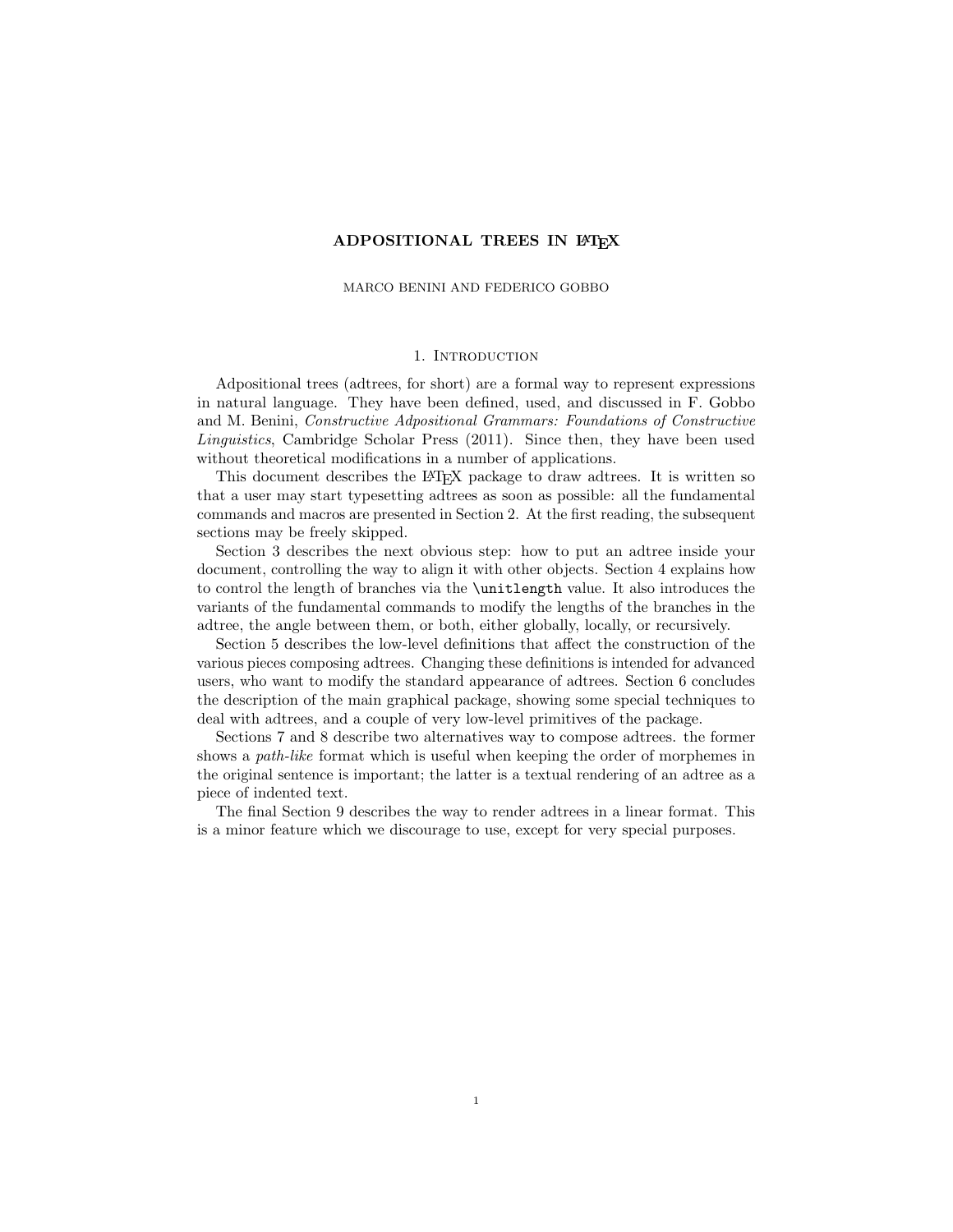## ADPOSITIONAL TREES IN LATEX

#### MARCO BENINI AND FEDERICO GOBBO

## 1. INTRODUCTION

Adpositional trees (adtrees, for short) are a formal way to represent expressions in natural language. They have been defined, used, and discussed in F. Gobbo and M. Benini, Constructive Adpositional Grammars: Foundations of Constructive Linguistics, Cambridge Scholar Press (2011). Since then, they have been used without theoretical modifications in a number of applications.

This document describes the LAT<sub>EX</sub> package to draw adtrees. It is written so that a user may start typesetting adtrees as soon as possible: all the fundamental commands and macros are presented in Section 2. At the first reading, the subsequent sections may be freely skipped.

Section 3 describes the next obvious step: how to put an adtree inside your document, controlling the way to align it with other objects. Section 4 explains how to control the length of branches via the \unitlength value. It also introduces the variants of the fundamental commands to modify the lengths of the branches in the adtree, the angle between them, or both, either globally, locally, or recursively.

Section 5 describes the low-level definitions that affect the construction of the various pieces composing adtrees. Changing these definitions is intended for advanced users, who want to modify the standard appearance of adtrees. Section 6 concludes the description of the main graphical package, showing some special techniques to deal with adtrees, and a couple of very low-level primitives of the package.

Sections 7 and 8 describe two alternatives way to compose adtrees. the former shows a *path-like* format which is useful when keeping the order of morphemes in the original sentence is important; the latter is a textual rendering of an adtree as a piece of indented text.

The final Section 9 describes the way to render adtrees in a linear format. This is a minor feature which we discourage to use, except for very special purposes.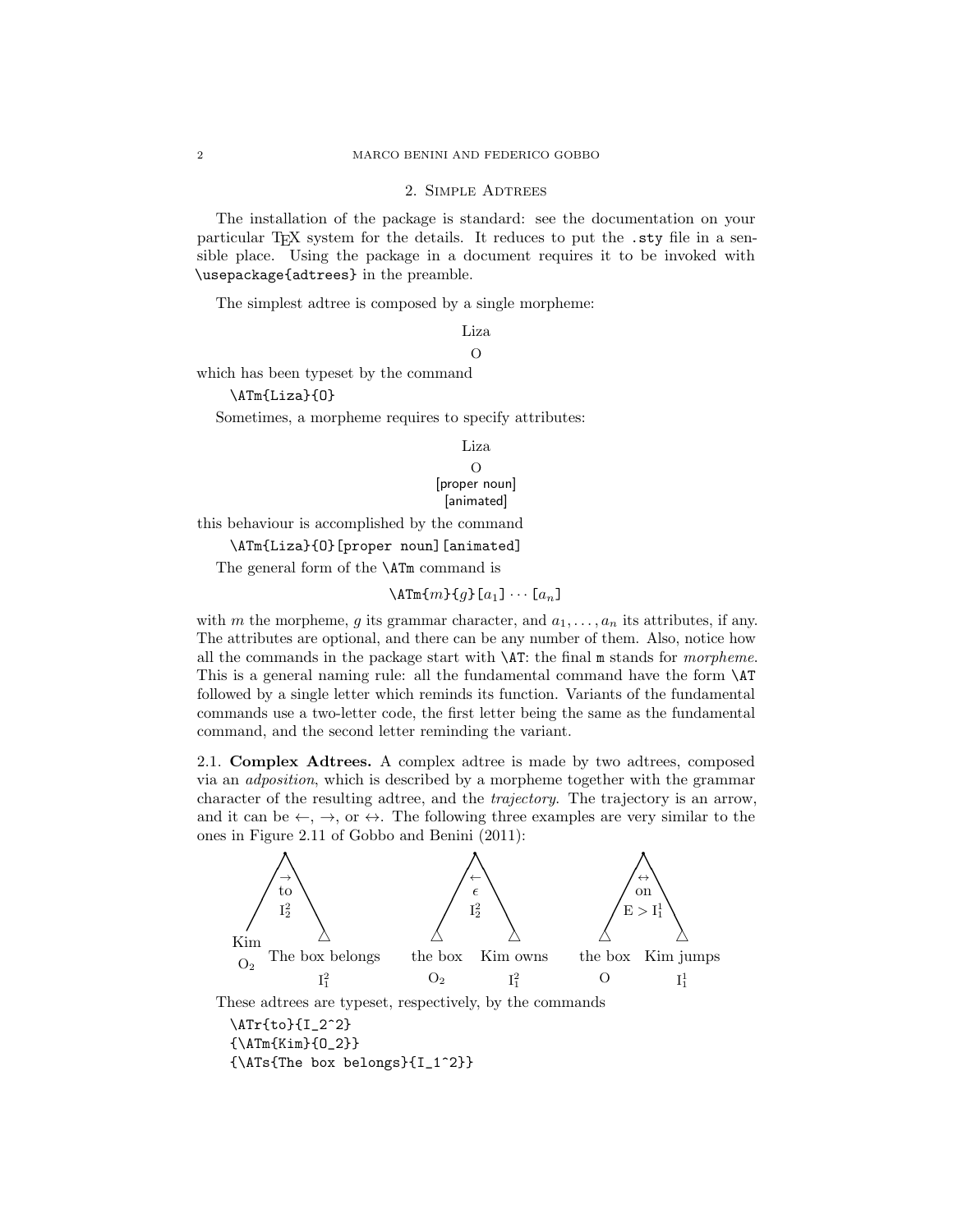### 2. Simple Adtrees

The installation of the package is standard: see the documentation on your particular TEX system for the details. It reduces to put the .sty file in a sensible place. Using the package in a document requires it to be invoked with \usepackage{adtrees} in the preamble.

The simplest adtree is composed by a single morpheme:

Liza O

which has been typeset by the command

\ATm{Liza}{O}

Sometimes, a morpheme requires to specify attributes:

Liza O [proper noun] [animated]

this behaviour is accomplished by the command

\ATm{Liza}{O}[proper noun][animated]

The general form of the **\ATm** command is

 $\Lambda$ Tm{m}{g}[a<sub>1</sub>]  $\cdots$  [a<sub>n</sub>]

with m the morpheme, g its grammar character, and  $a_1, \ldots, a_n$  its attributes, if any. The attributes are optional, and there can be any number of them. Also, notice how all the commands in the package start with  $\Delta T$ : the final m stands for morpheme. This is a general naming rule: all the fundamental command have the form \AT followed by a single letter which reminds its function. Variants of the fundamental commands use a two-letter code, the first letter being the same as the fundamental command, and the second letter reminding the variant.

2.1. Complex Adtrees. A complex adtree is made by two adtrees, composed via an adposition, which is described by a morpheme together with the grammar character of the resulting adtree, and the trajectory. The trajectory is an arrow, and it can be  $\leftarrow, \rightarrow, \text{or } \leftrightarrow$ . The following three examples are very similar to the ones in Figure 2.11 of Gobbo and Benini (2011):

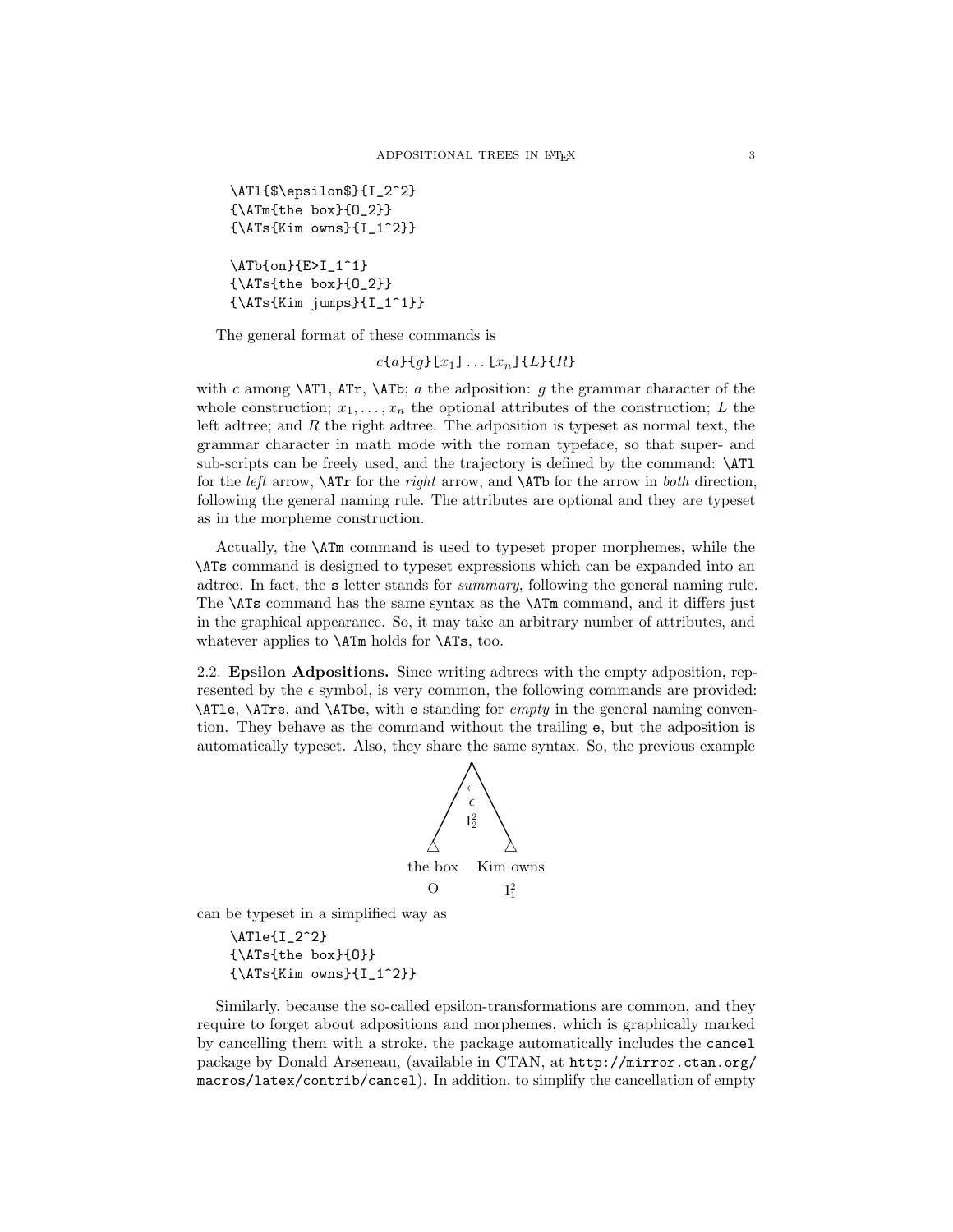```
\ATl{$\epsilon$}{I_2^2}
{\ATm{the box}{O_2}}
{\ATs{Kim owns}{I_1^2}}
```

```
\ATb{on}{E>I_1^1}
{\ATs{the box}{O_2}}
{\Lambda Ts{Kim jumps}_{I_1^1}
```
The general format of these commands is

 $c{a}{g}[x_1] \dots [x_n]{L}{R}$ 

with c among  $\ATl$ , ATr,  $\ATl$ ; a the adposition: g the grammar character of the whole construction;  $x_1, \ldots, x_n$  the optional attributes of the construction; L the left adtree; and R the right adtree. The adposition is typeset as normal text, the grammar character in math mode with the roman typeface, so that super- and sub-scripts can be freely used, and the trajectory is defined by the command: \ATl for the *left* arrow,  $\ATr$  for the *right* arrow, and  $\ATb$  for the arrow in *both* direction, following the general naming rule. The attributes are optional and they are typeset as in the morpheme construction.

Actually, the \ATm command is used to typeset proper morphemes, while the \ATs command is designed to typeset expressions which can be expanded into an adtree. In fact, the s letter stands for summary, following the general naming rule. The **\ATs** command has the same syntax as the **\ATm** command, and it differs just in the graphical appearance. So, it may take an arbitrary number of attributes, and whatever applies to **\ATm** holds for **\ATs**, too.

2.2. Epsilon Adpositions. Since writing adtrees with the empty adposition, represented by the  $\epsilon$  symbol, is very common, the following commands are provided: \ATle, \ATre, and \ATbe, with e standing for empty in the general naming convention. They behave as the command without the trailing e, but the adposition is automatically typeset. Also, they share the same syntax. So, the previous example



can be typeset in a simplified way as

\ATle{I\_2^2} {\ATs{the box}{O}}  ${\Lambda Ts{Kim owns}{I_1^2}}$ 

Similarly, because the so-called epsilon-transformations are common, and they require to forget about adpositions and morphemes, which is graphically marked by cancelling them with a stroke, the package automatically includes the cancel package by Donald Arseneau, (available in CTAN, at http://mirror.ctan.org/ macros/latex/contrib/cancel). In addition, to simplify the cancellation of empty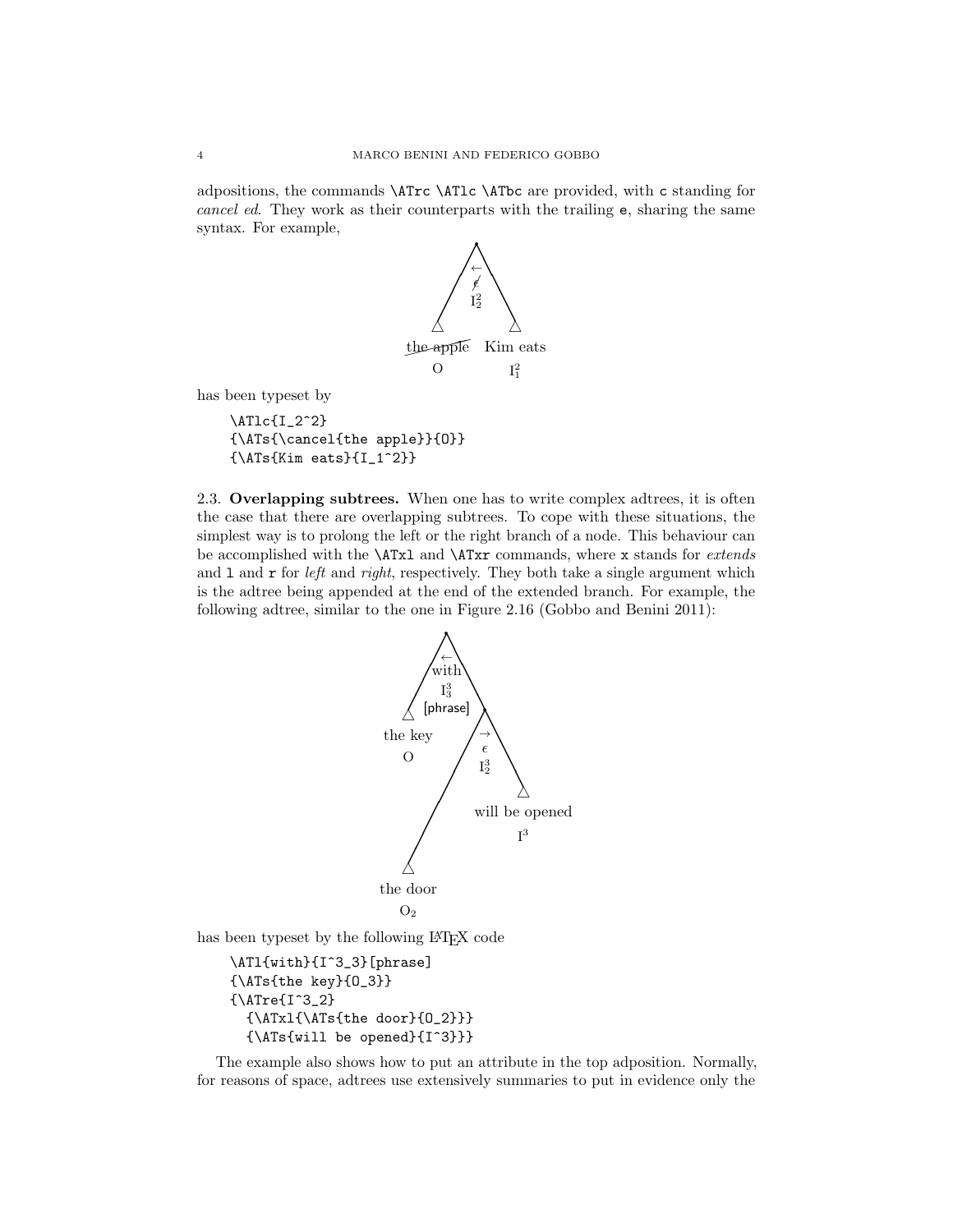adpositions, the commands \ATrc \ATlc \ATbc are provided, with c standing for cancel ed. They work as their counterparts with the trailing e, sharing the same syntax. For example,



has been typeset by

\ATlc{I\_2^2} {\ATs{\cancel{the apple}}{O}}  ${\Lambda Ts}{Kim eats}{I_1^2}$ 

2.3. Overlapping subtrees. When one has to write complex adtrees, it is often the case that there are overlapping subtrees. To cope with these situations, the simplest way is to prolong the left or the right branch of a node. This behaviour can be accomplished with the **\ATxl** and **\ATxr** commands, where x stands for *extends* and  $1$  and  $r$  for *left* and *right*, respectively. They both take a single argument which is the adtree being appended at the end of the extended branch. For example, the following adtree, similar to the one in Figure 2.16 (Gobbo and Benini 2011):



The example also shows how to put an attribute in the top adposition. Normally, for reasons of space, adtrees use extensively summaries to put in evidence only the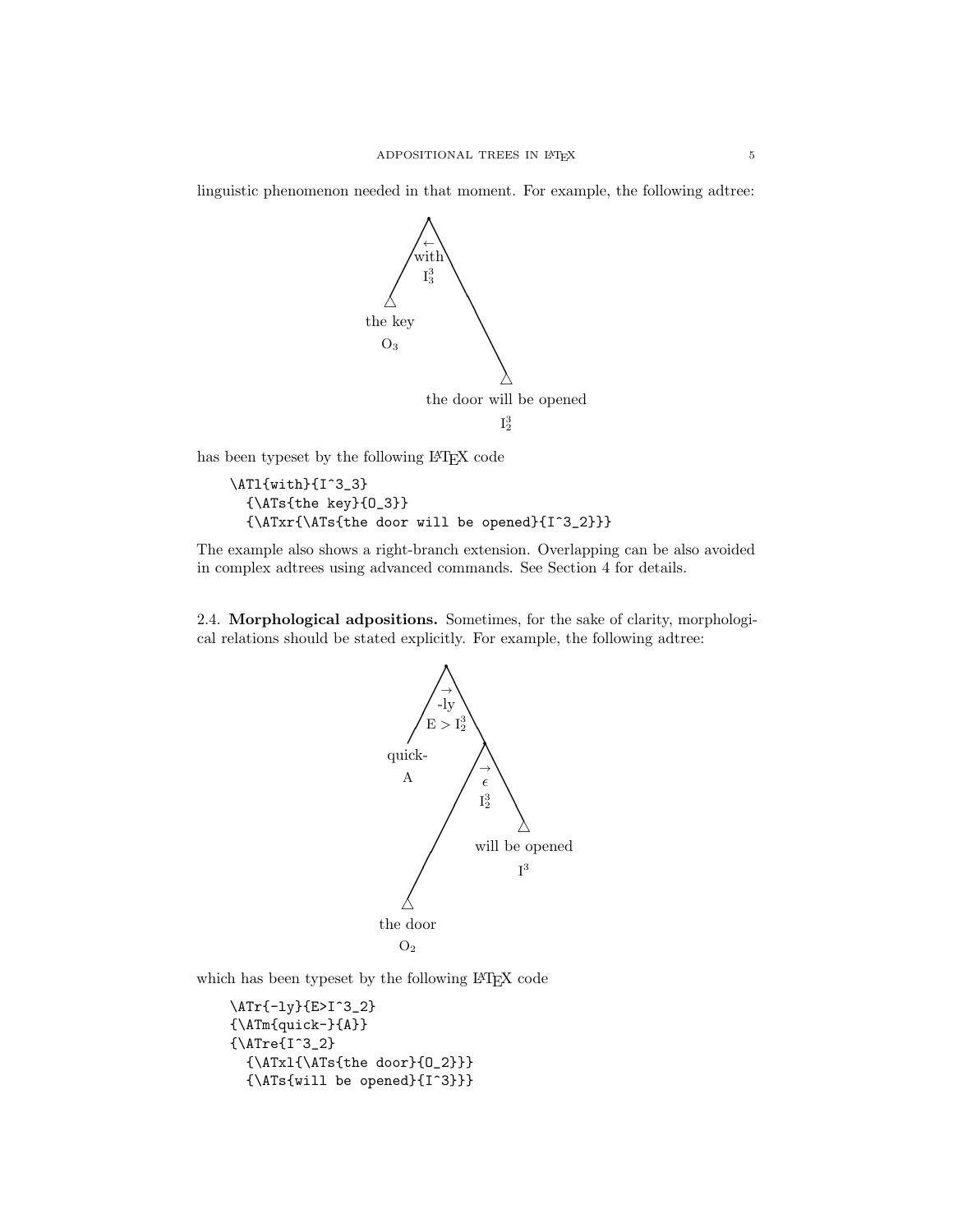linguistic phenomenon needed in that moment. For example, the following adtree:



has been typeset by the following IATEX code

```
\ATl{with}{I^3_3}
  {\ATs{the key}{O_3}}
  {\ATxr{\ATs{the door will be opened}{I^3_2}}}
```
The example also shows a right-branch extension. Overlapping can be also avoided in complex adtrees using advanced commands. See Section 4 for details.

2.4. Morphological adpositions. Sometimes, for the sake of clarity, morphological relations should be stated explicitly. For example, the following adtree:



which has been typeset by the following L<sup>AT</sup>EX code

```
\ATr{-ly}{E>I^3_2}
{\ATm{quick-}{A}}
{\rm \{\Upsilon^3_2\}}{\ATxl{\ATs{the door}{O_2}}}
  {\ATs{will be opened}{I^3}}}
```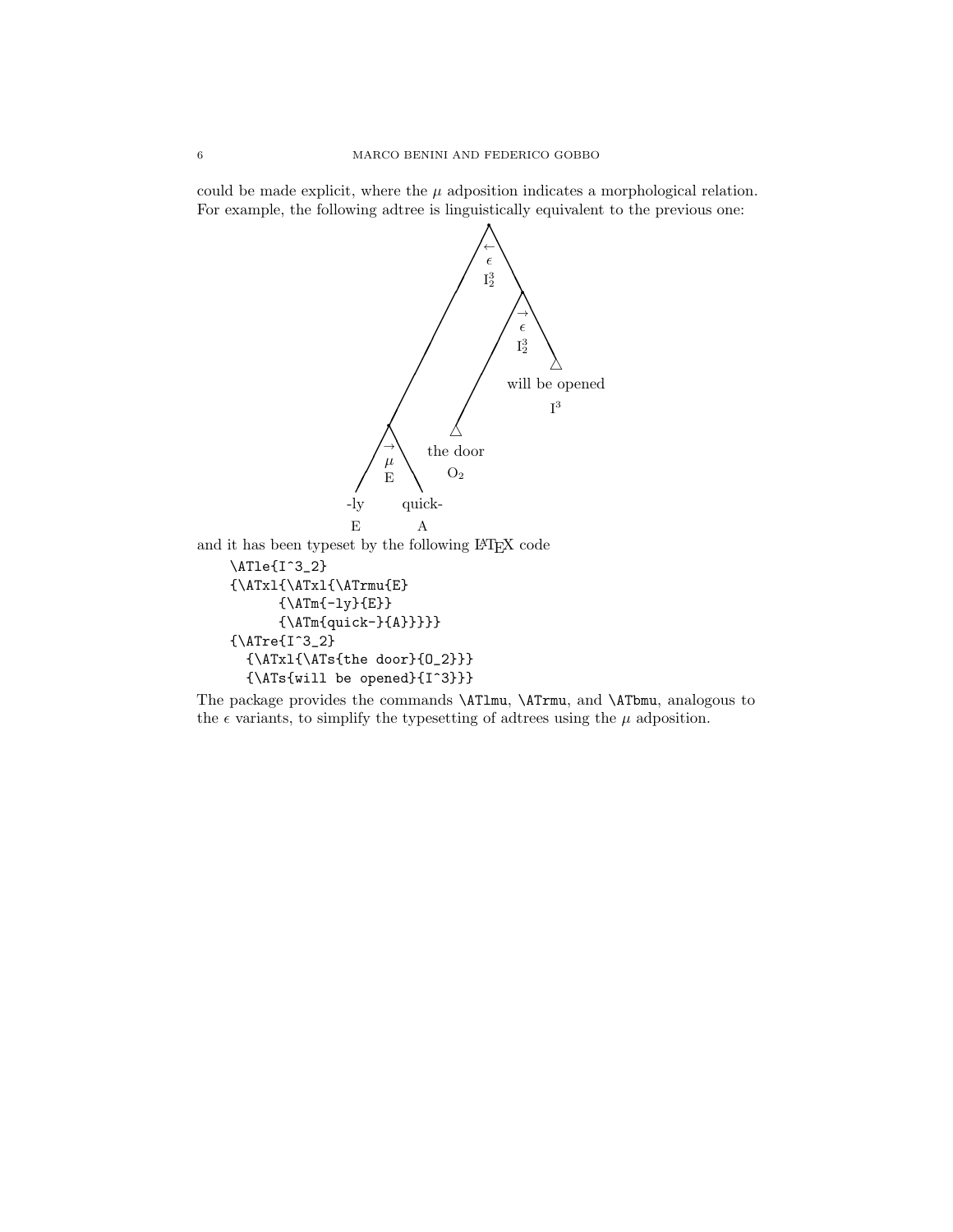could be made explicit, where the  $\mu$  adposition indicates a morphological relation. For example, the following adtree is linguistically equivalent to the previous one:



The package provides the commands \ATlmu, \ATrmu, and \ATbmu, analogous to the  $\epsilon$  variants, to simplify the typesetting of adtrees using the  $\mu$  adposition.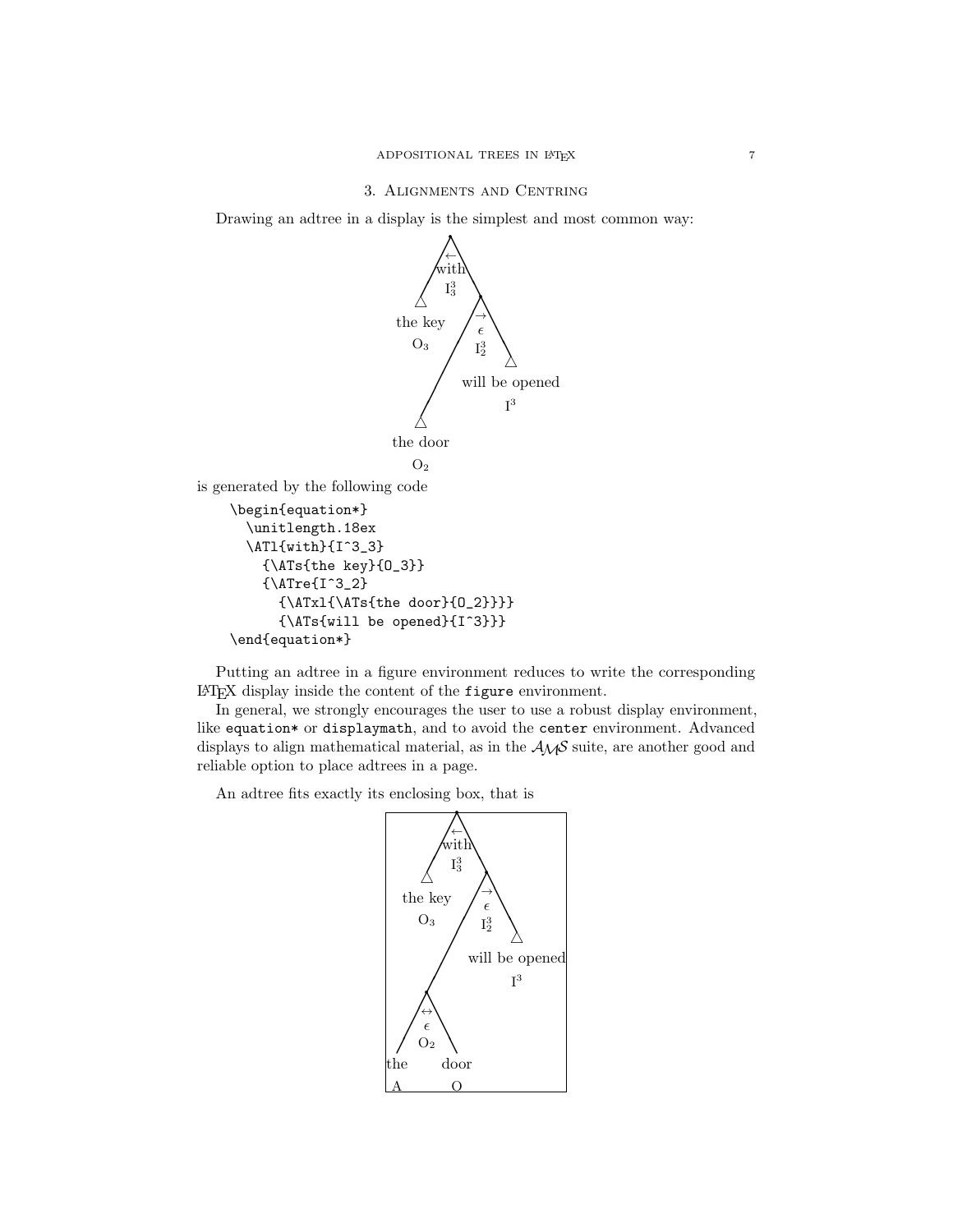# 3. Alignments and Centring

Drawing an adtree in a display is the simplest and most common way:



Putting an adtree in a figure environment reduces to write the corresponding LATEX display inside the content of the figure environment.

In general, we strongly encourages the user to use a robust display environment, like equation\* or displaymath, and to avoid the center environment. Advanced displays to align mathematical material, as in the  $A_{\mathcal{M}}S$  suite, are another good and reliable option to place adtrees in a page.

An adtree fits exactly its enclosing box, that is

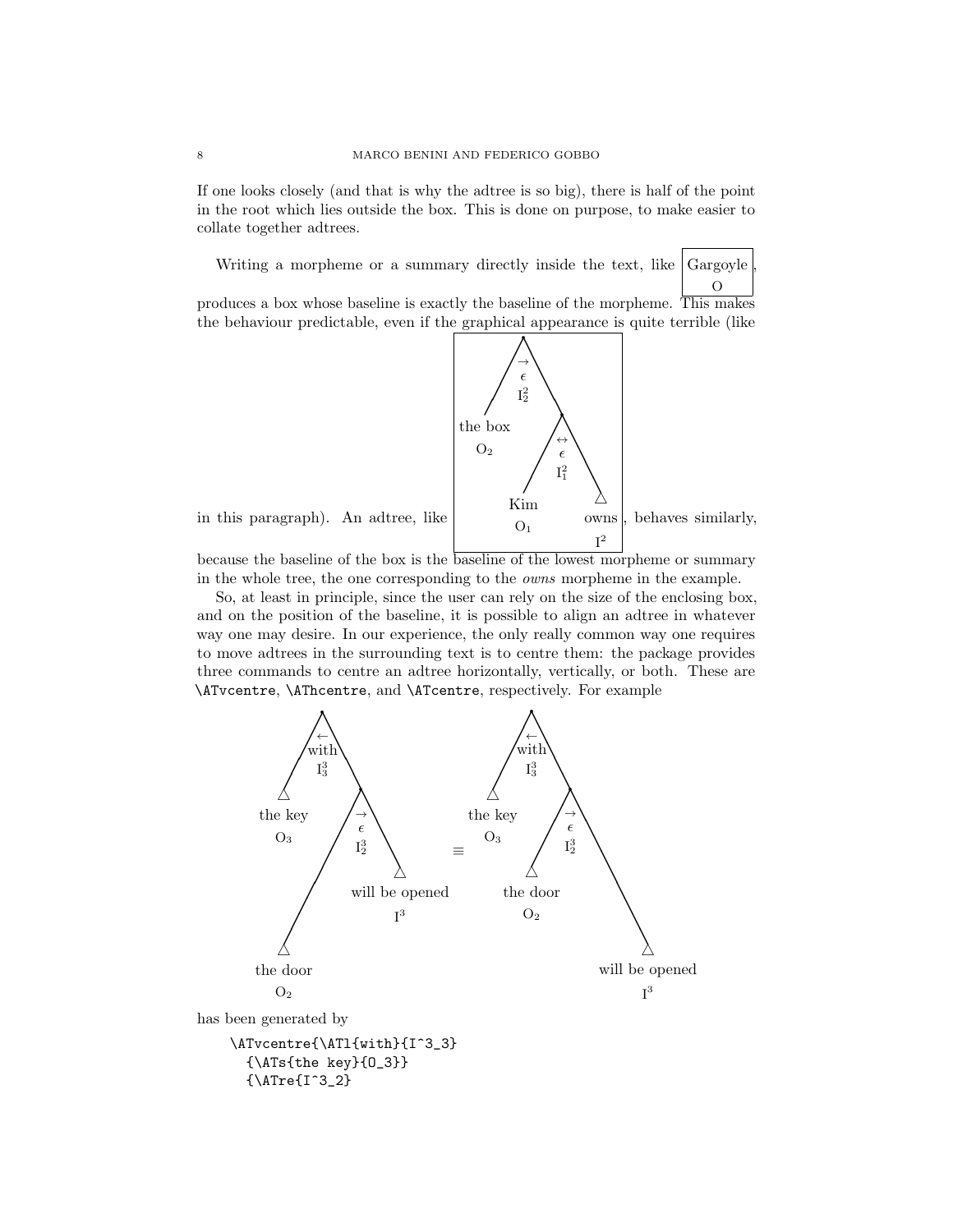If one looks closely (and that is why the adtree is so big), there is half of the point in the root which lies outside the box. This is done on purpose, to make easier to collate together adtrees.

Writing a morpheme or a summary directly inside the text, like  $\int$ Gargoyle O ,

produces a box whose baseline is exactly the baseline of the morpheme. This makes the behaviour predictable, even if the graphical appearance is quite terrible (like



in this paragraph). An adtree, like

because the baseline of the box is the baseline of the lowest morpheme or summary in the whole tree, the one corresponding to the owns morpheme in the example.

So, at least in principle, since the user can rely on the size of the enclosing box, and on the position of the baseline, it is possible to align an adtree in whatever way one may desire. In our experience, the only really common way one requires to move adtrees in the surrounding text is to centre them: the package provides three commands to centre an adtree horizontally, vertically, or both. These are \ATvcentre, \AThcentre, and \ATcentre, respectively. For example

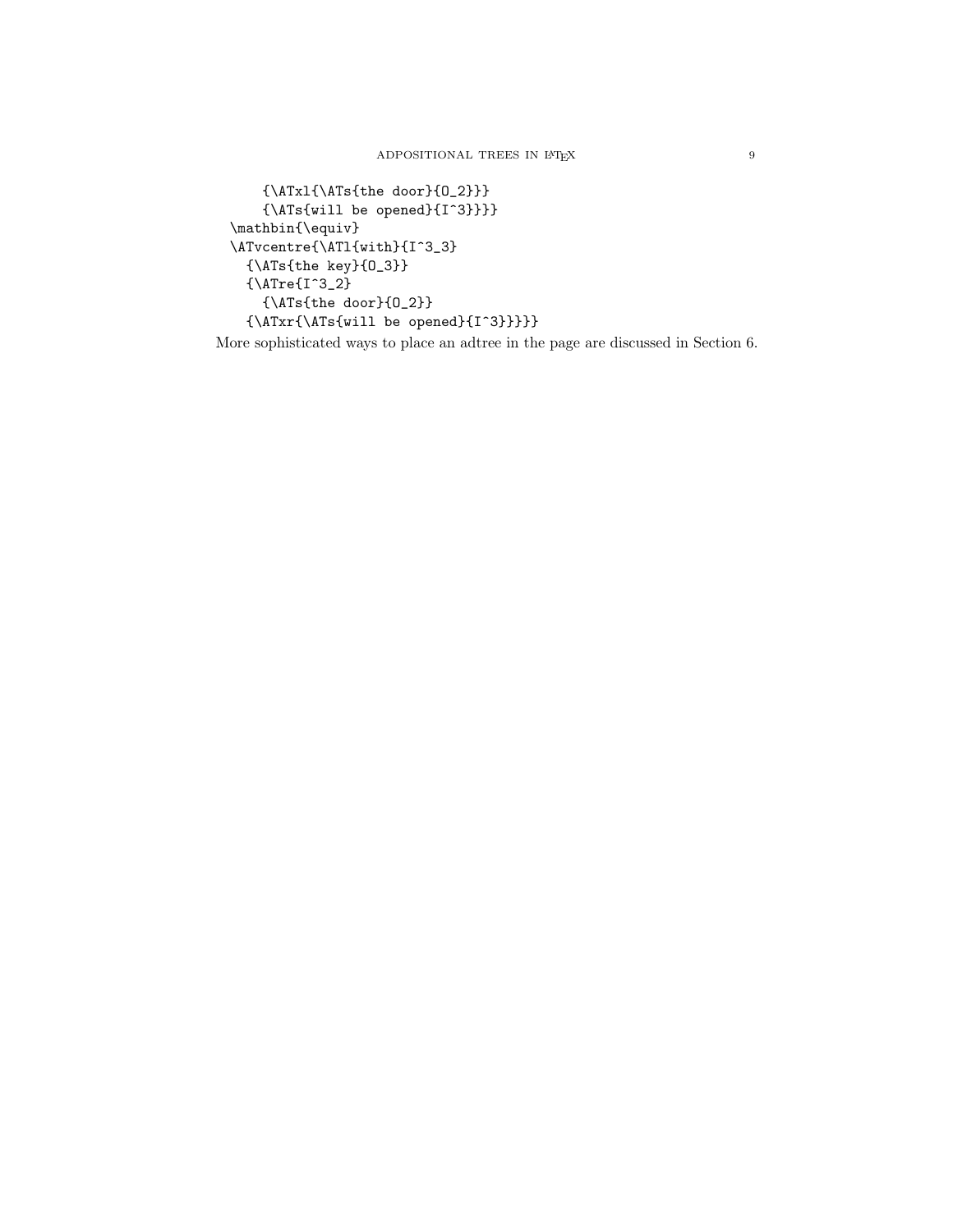```
{\ATxl{\ATs{the door}{O_2}}}
    {\Lambda Ts\{will be opened\{I^3\}}\}\mathbin{\equiv}
\ATvcentre{\ATl{with}{I^3_3}
  {\ATs{the key}{O_3}}
  {\\{MTre{I^3_2}\}{\ATs{the door}{O_2}}
  {\\{ \ATxr{\mathrm{Vill be opened}\{I^3\} \}}\}
```
More sophisticated ways to place an adtree in the page are discussed in Section 6.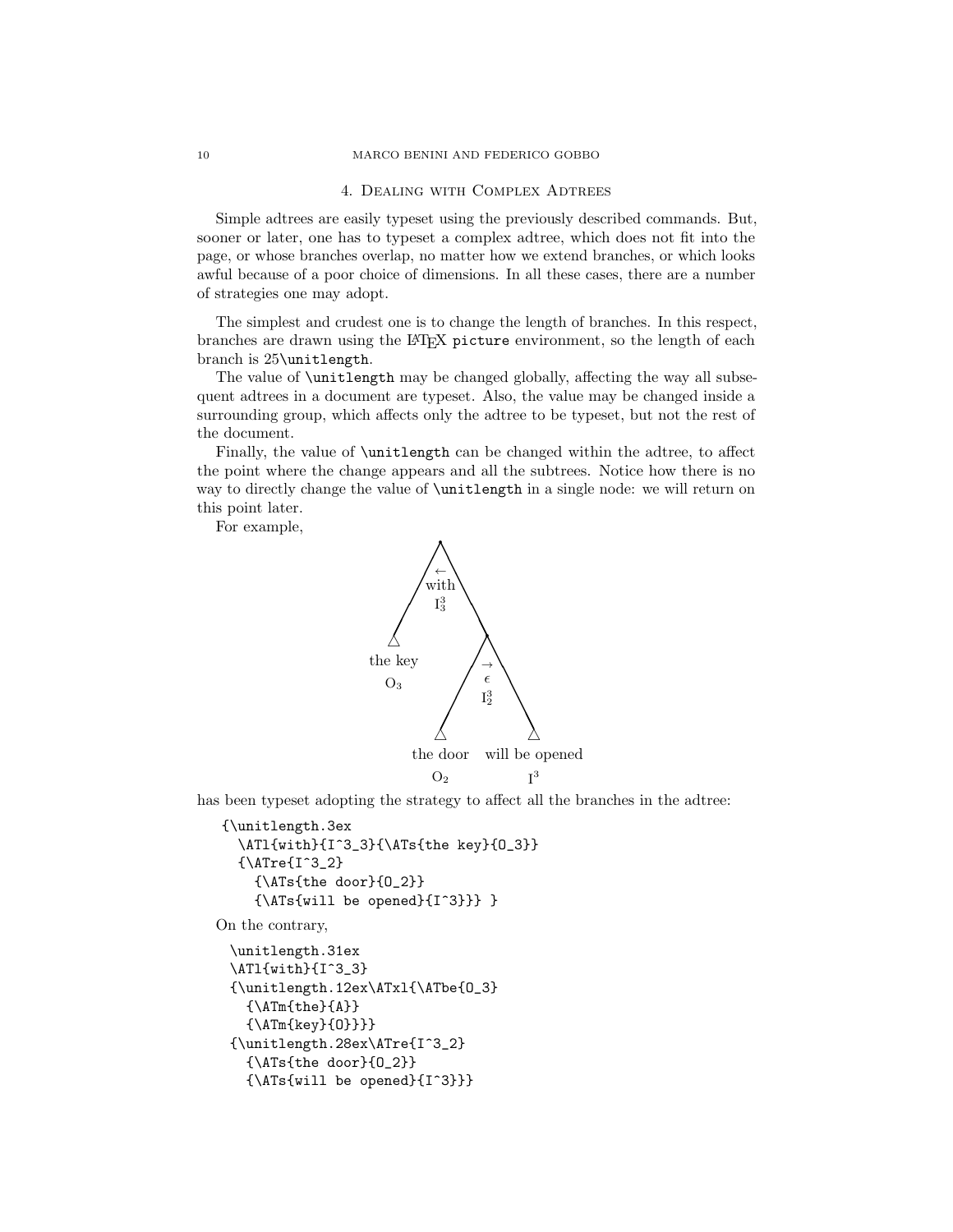### 4. Dealing with Complex Adtrees

Simple adtrees are easily typeset using the previously described commands. But, sooner or later, one has to typeset a complex adtree, which does not fit into the page, or whose branches overlap, no matter how we extend branches, or which looks awful because of a poor choice of dimensions. In all these cases, there are a number of strategies one may adopt.

The simplest and crudest one is to change the length of branches. In this respect, branches are drawn using the LATEX picture environment, so the length of each branch is 25\unitlength.

The value of **\unitlength** may be changed globally, affecting the way all subsequent adtrees in a document are typeset. Also, the value may be changed inside a surrounding group, which affects only the adtree to be typeset, but not the rest of the document.

Finally, the value of \unitlength can be changed within the adtree, to affect the point where the change appears and all the subtrees. Notice how there is no way to directly change the value of \unitlength in a single node: we will return on this point later.

For example,



has been typeset adopting the strategy to affect all the branches in the adtree:

```
{\unitlength.3ex
  \ATl{with}{I^3_3}{\ATs{the key}{O_3}}
 {\ATre{I^3_2}
   {\ATs{the door}{O_2}}
   {\ATs{will be opened}{I^3}}} }
```
On the contrary,

```
\unitlength.31ex
\ATl{with}{I^3_3}
{\unitlength.12ex\ATxl{\ATbe{O_3}
  {\Lambda}}
  {\ATm{key}{O}}}}
{\unitlength.28ex\ATre{I^3_2}
  {\ATs{the door}{O_2}}
  {\ATs{will be opened}{I^3}}}
```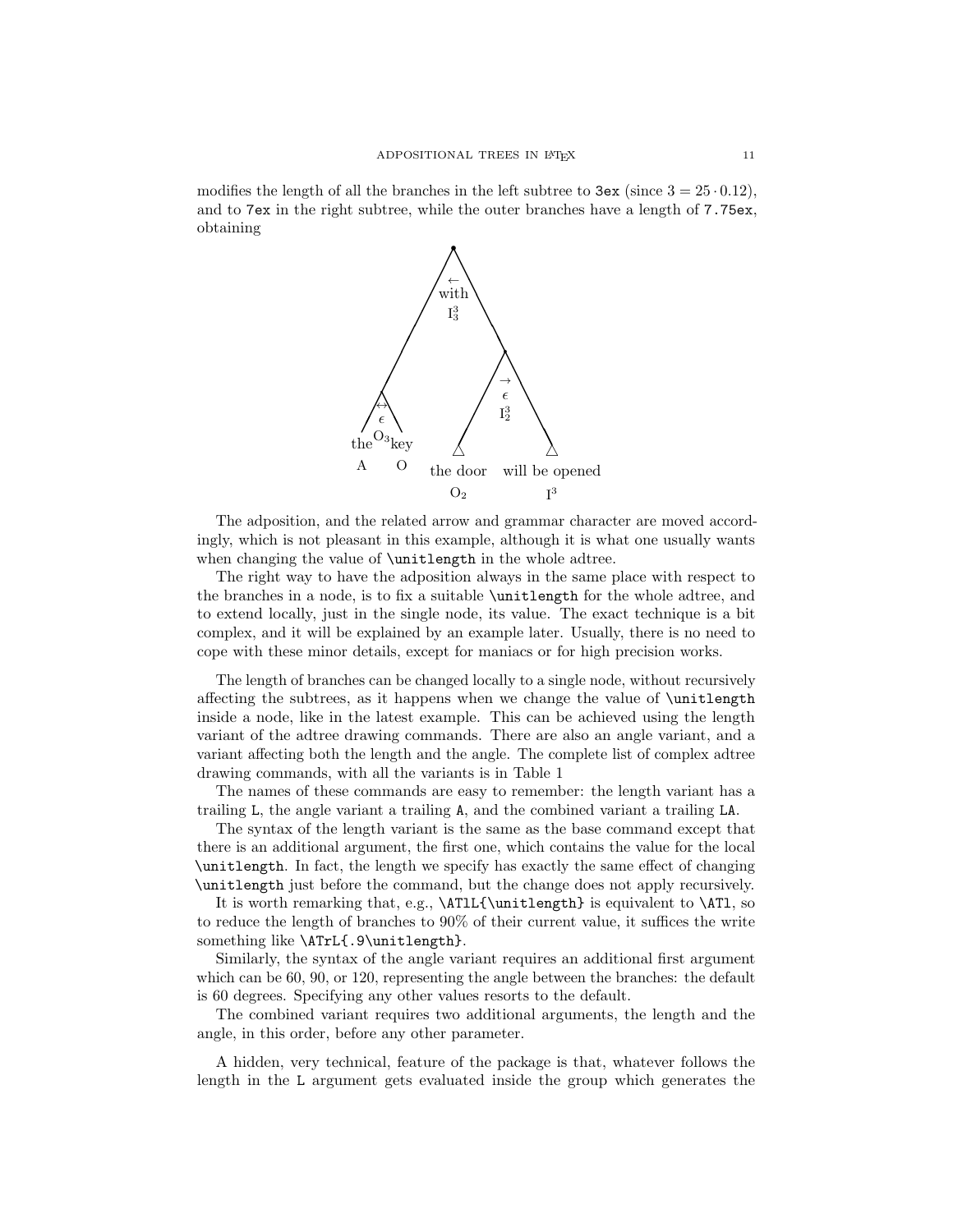modifies the length of all the branches in the left subtree to  $3 \approx (s) \cdot (12)$ , and to 7ex in the right subtree, while the outer branches have a length of 7.75ex, obtaining



The adposition, and the related arrow and grammar character are moved accordingly, which is not pleasant in this example, although it is what one usually wants when changing the value of **\unitlength** in the whole adtree.

The right way to have the adposition always in the same place with respect to the branches in a node, is to fix a suitable \unitlength for the whole adtree, and to extend locally, just in the single node, its value. The exact technique is a bit complex, and it will be explained by an example later. Usually, there is no need to cope with these minor details, except for maniacs or for high precision works.

The length of branches can be changed locally to a single node, without recursively affecting the subtrees, as it happens when we change the value of \unitlength inside a node, like in the latest example. This can be achieved using the length variant of the adtree drawing commands. There are also an angle variant, and a variant affecting both the length and the angle. The complete list of complex adtree drawing commands, with all the variants is in Table 1

The names of these commands are easy to remember: the length variant has a trailing L, the angle variant a trailing A, and the combined variant a trailing LA.

The syntax of the length variant is the same as the base command except that there is an additional argument, the first one, which contains the value for the local \unitlength. In fact, the length we specify has exactly the same effect of changing \unitlength just before the command, but the change does not apply recursively.

It is worth remarking that, e.g., \ATlL{\unitlength} is equivalent to \ATl, so to reduce the length of branches to 90% of their current value, it suffices the write something like \ATrL{.9\unitlength}.

Similarly, the syntax of the angle variant requires an additional first argument which can be 60, 90, or 120, representing the angle between the branches: the default is 60 degrees. Specifying any other values resorts to the default.

The combined variant requires two additional arguments, the length and the angle, in this order, before any other parameter.

A hidden, very technical, feature of the package is that, whatever follows the length in the L argument gets evaluated inside the group which generates the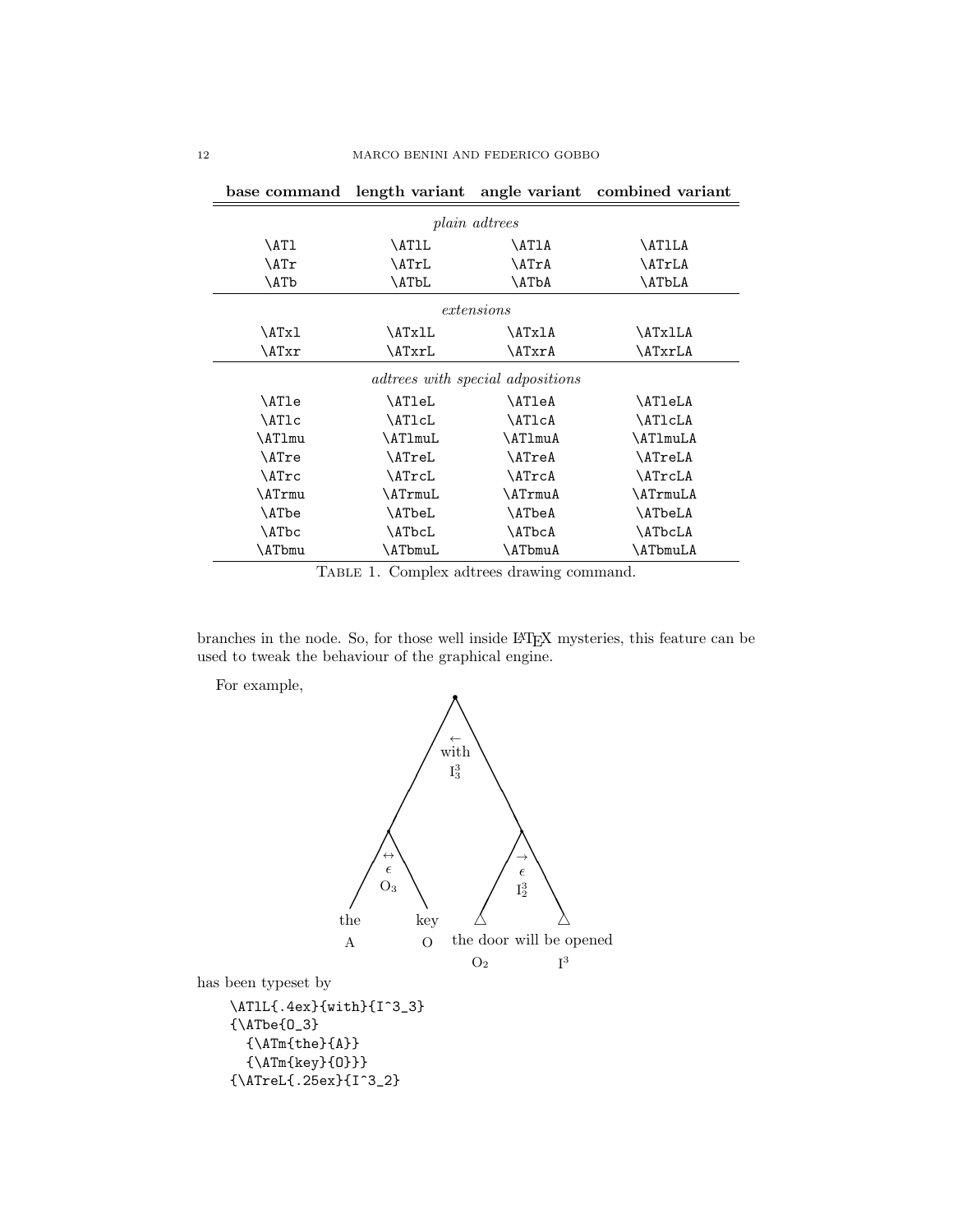| base command                            | length variant | angle variant | combined variant |  |
|-----------------------------------------|----------------|---------------|------------------|--|
| <i>plain adtrees</i>                    |                |               |                  |  |
| \AT1                                    | \AT1L          | \AT1A         | <b>\AT1LA</b>    |  |
| \ATr                                    | \ATrL          | \ATrA         | \ATrLA           |  |
| \ATb                                    | \ATbL          | <b>\ATbA</b>  | <b>\ATbLA</b>    |  |
| extensions                              |                |               |                  |  |
| \ATxl                                   | \ATxlL         | \ATxlA        | \ATxlLA          |  |
| \ATxr                                   | \ATxrL         | \ATxrA        | \ATxrLA          |  |
| <i>adtrees with special adpositions</i> |                |               |                  |  |
| \ATle                                   | \AT1eL         | \AT1eA        | \AT1eLA          |  |
| \AT1c                                   | \AT1cL         | <b>\AT1cA</b> | \AT1cLA          |  |
| \AT1mu                                  | \AT1muL        | \AT1muA       | \AT1muLA         |  |
| \ATre                                   | \ATreL         | \ATreA        | \ATreLA          |  |
| \ATrc                                   | \ATrcL         | <b>\ATrcA</b> | \ATrcLA          |  |
| \ATrmu                                  | \ATrmuL        | \ATrmuA       | \ATrmuLA         |  |
| \ATbe                                   | \ATbeL         | \ATbeA        | \ATbeLA          |  |
| \ATbc                                   | \ATbcL         | \ATbcA        | \ATbcLA          |  |
| ATbmu                                   | \ATbmuL        | \ATbmuA       | \ATbmuLA         |  |

TABLE 1. Complex adtrees drawing command.

branches in the node. So, for those well inside LATEX mysteries, this feature can be used to tweak the behaviour of the graphical engine.

For example,

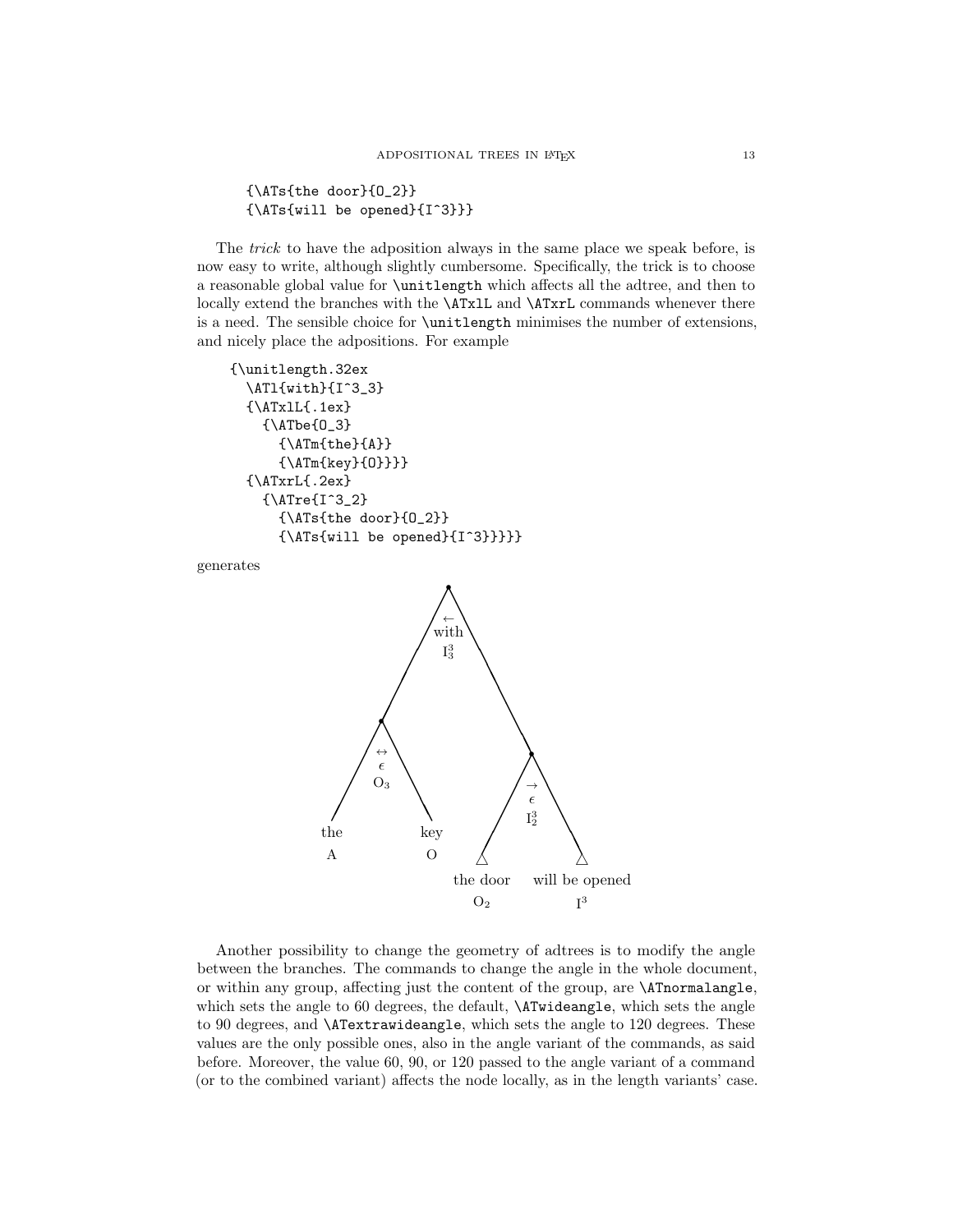{\ATs{the door}{O\_2}} {\ATs{will be opened}{I^3}}}

The *trick* to have the adposition always in the same place we speak before, is now easy to write, although slightly cumbersome. Specifically, the trick is to choose a reasonable global value for \unitlength which affects all the adtree, and then to locally extend the branches with the **\ATxlL** and **\ATxrL** commands whenever there is a need. The sensible choice for \unitlength minimises the number of extensions, and nicely place the adpositions. For example

```
{\unitlength.32ex
  \ATl{with}{I^3_3}
  {\Lambda}TxlL{\Lambda}ex}
    {\ATbe{O_3}
      {\Lambda}}{A]
       {\ATm{key}{O}}}}
  {\ATxrL{.2ex}
    {\ATre{I^3_2}
      {\ATs{the door}{O_2}}
       {\Lambda Ts\{will be opened\{I^3\}}\}
```
generates



Another possibility to change the geometry of adtrees is to modify the angle between the branches. The commands to change the angle in the whole document, or within any group, affecting just the content of the group, are \ATnormalangle, which sets the angle to 60 degrees, the default, \ATwideangle, which sets the angle to 90 degrees, and \ATextrawideangle, which sets the angle to 120 degrees. These values are the only possible ones, also in the angle variant of the commands, as said before. Moreover, the value 60, 90, or 120 passed to the angle variant of a command (or to the combined variant) affects the node locally, as in the length variants' case.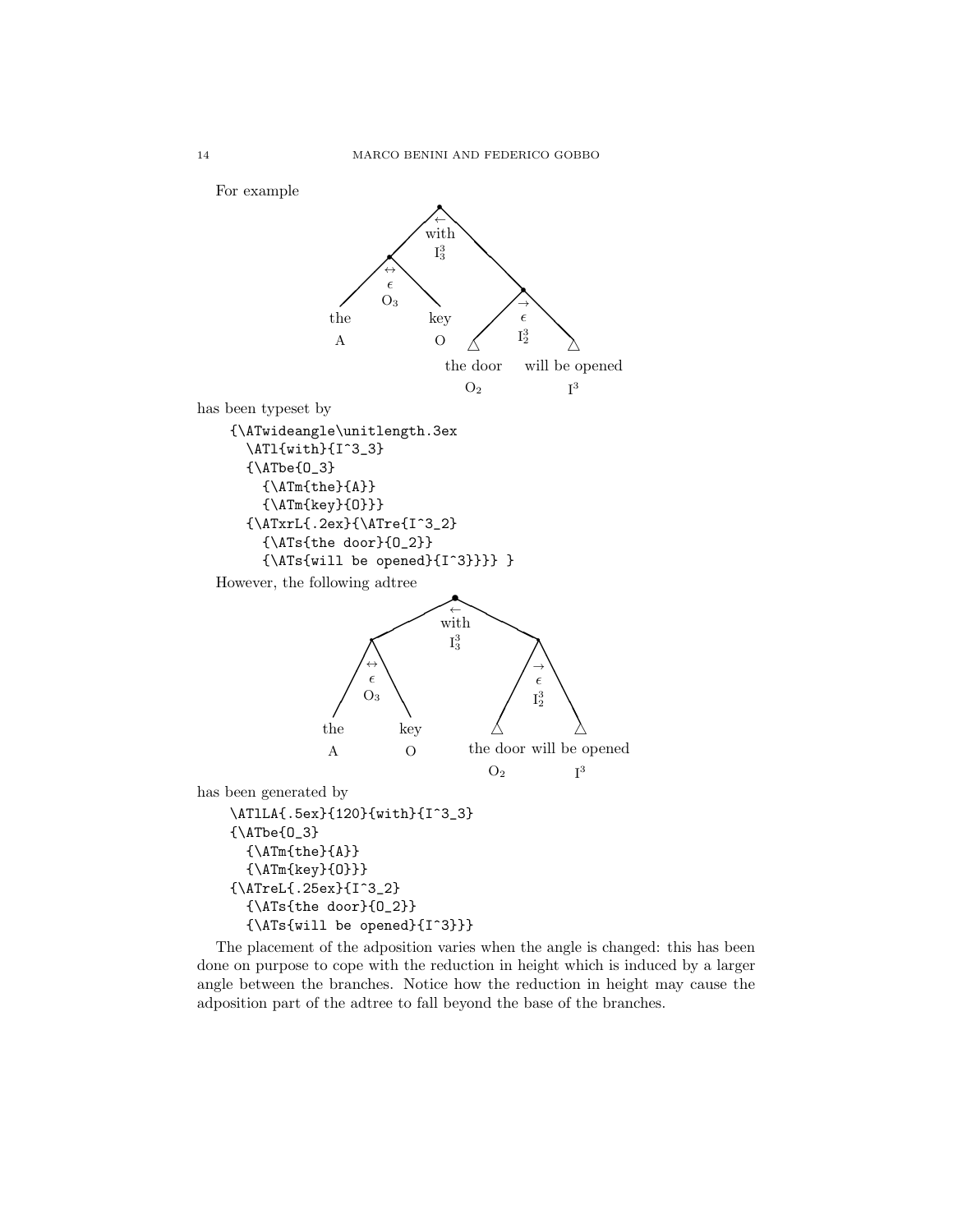

The placement of the adposition varies when the angle is changed: this has been done on purpose to cope with the reduction in height which is induced by a larger angle between the branches. Notice how the reduction in height may cause the adposition part of the adtree to fall beyond the base of the branches.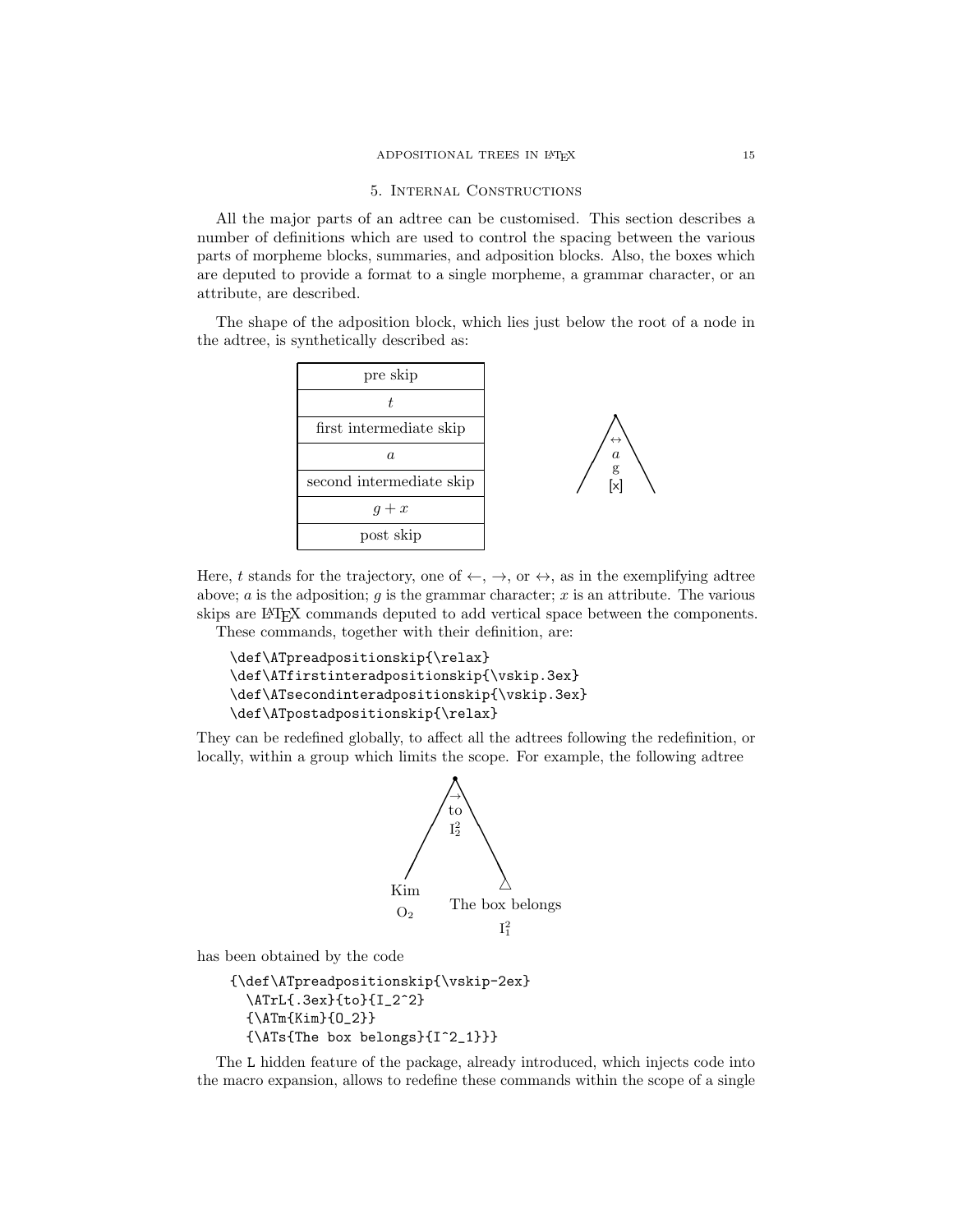#### 5. Internal Constructions

All the major parts of an adtree can be customised. This section describes a number of definitions which are used to control the spacing between the various parts of morpheme blocks, summaries, and adposition blocks. Also, the boxes which are deputed to provide a format to a single morpheme, a grammar character, or an attribute, are described.

The shape of the adposition block, which lies just below the root of a node in the adtree, is synthetically described as:





Here, t stands for the trajectory, one of  $\leftarrow, \rightarrow,$  or  $\leftrightarrow$ , as in the exemplifying adtree above; a is the adposition; q is the grammar character; x is an attribute. The various skips are LATEX commands deputed to add vertical space between the components. These commands, together with their definition, are:

```
\def\ATpreadpositionskip{\relax}
\def\ATfirstinteradpositionskip{\vskip.3ex}
\def\ATsecondinteradpositionskip{\vskip.3ex}
\def\ATpostadpositionskip{\relax}
```
They can be redefined globally, to affect all the adtrees following the redefinition, or locally, within a group which limits the scope. For example, the following adtree



has been obtained by the code

```
{\def\ATpreadpositionskip{\vskip-2ex}
  \ATrL{.3ex}{to}{I_2^2}
  {\ATm{Kim}{O_2}}
  {\ATs{The box belongs}{I^2_1}}}
```
The L hidden feature of the package, already introduced, which injects code into the macro expansion, allows to redefine these commands within the scope of a single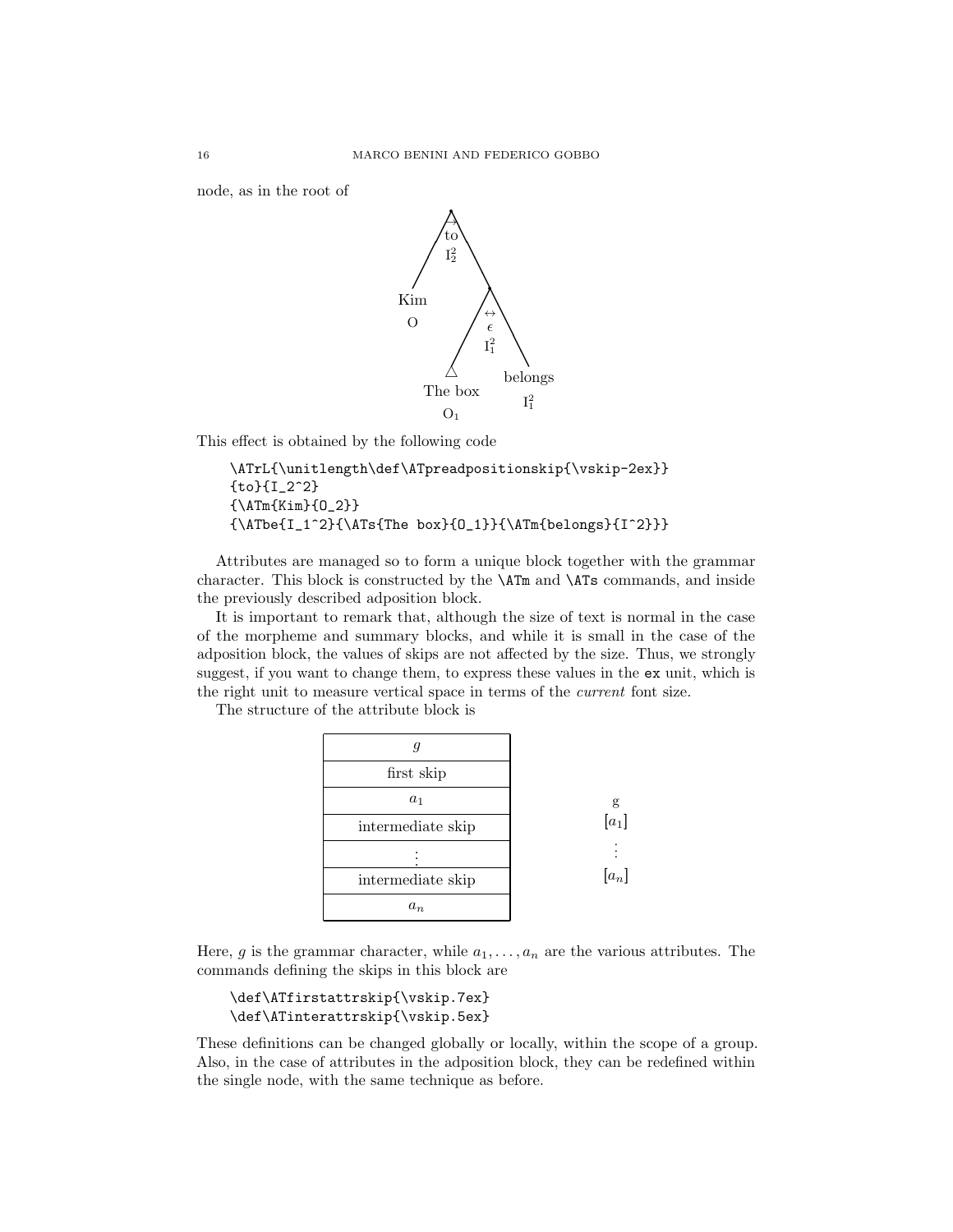node, as in the root of



This effect is obtained by the following code

```
\ATrL{\unitlength\def\ATpreadpositionskip{\vskip-2ex}}
{to}{I_2^2}
{\ATm{Kim}{O_2}}
{\ATbe{I_1^2}{\ATs{The box}{O_1}}{\ATm{belongs}{I^2}}}
```
Attributes are managed so to form a unique block together with the grammar character. This block is constructed by the \ATm and \ATs commands, and inside the previously described adposition block.

It is important to remark that, although the size of text is normal in the case of the morpheme and summary blocks, and while it is small in the case of the adposition block, the values of skips are not affected by the size. Thus, we strongly suggest, if you want to change them, to express these values in the ex unit, which is the right unit to measure vertical space in terms of the current font size.

The structure of the attribute block is



Here, g is the grammar character, while  $a_1, \ldots, a_n$  are the various attributes. The commands defining the skips in this block are

```
\def\ATfirstattrskip{\vskip.7ex}
\def\ATinterattrskip{\vskip.5ex}
```
These definitions can be changed globally or locally, within the scope of a group. Also, in the case of attributes in the adposition block, they can be redefined within the single node, with the same technique as before.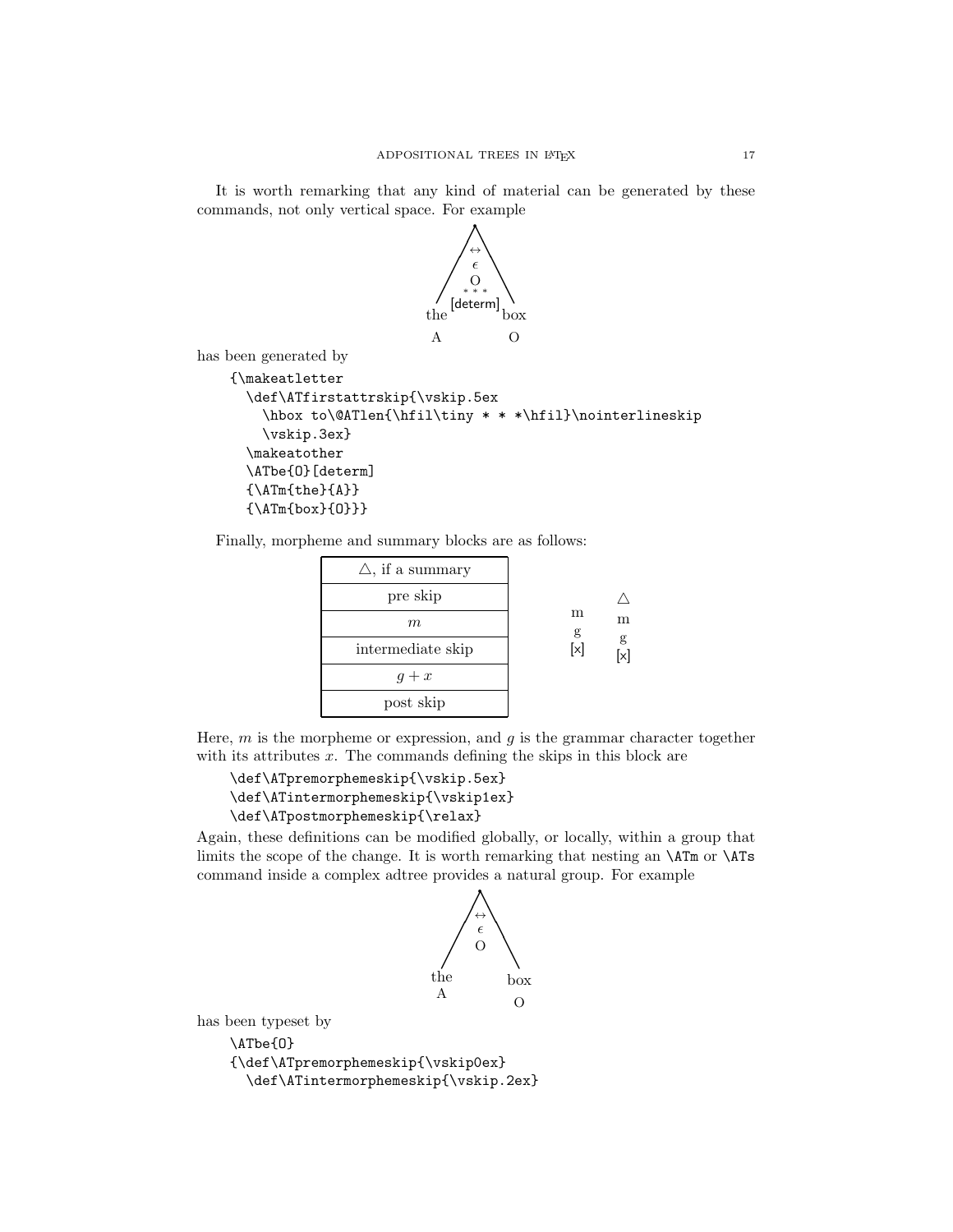It is worth remarking that any kind of material can be generated by these commands, not only vertical space. For example



has been generated by

```
{\makeatletter
 \def\ATfirstattrskip{\vskip.5ex
    \hbox to\@ATlen{\hfil\tiny * * *\hfil}\nointerlineskip
    \vskip.3ex}
  \makeatother
  \ATbe{O}[determ]
  {\Lambda}}
  {\Lambda Tm{box}{0}}}
```
Finally, morpheme and summary blocks are as follows:

| $\triangle$ , if a summary |        |             |
|----------------------------|--------|-------------|
| pre skip                   |        | m<br>g<br>X |
| $m\,$                      | m<br>g |             |
| intermediate skip          | [x]    |             |
| $g+x$                      |        |             |
| post skip                  |        |             |

Here,  $m$  is the morpheme or expression, and  $q$  is the grammar character together with its attributes  $x$ . The commands defining the skips in this block are

```
\def\ATpremorphemeskip{\vskip.5ex}
\def\ATintermorphemeskip{\vskip1ex}
\def\ATpostmorphemeskip{\relax}
```
Again, these definitions can be modified globally, or locally, within a group that limits the scope of the change. It is worth remarking that nesting an \ATm or \ATs command inside a complex adtree provides a natural group. For example



has been typeset by

\ATbe{O} {\def\ATpremorphemeskip{\vskip0ex} \def\ATintermorphemeskip{\vskip.2ex}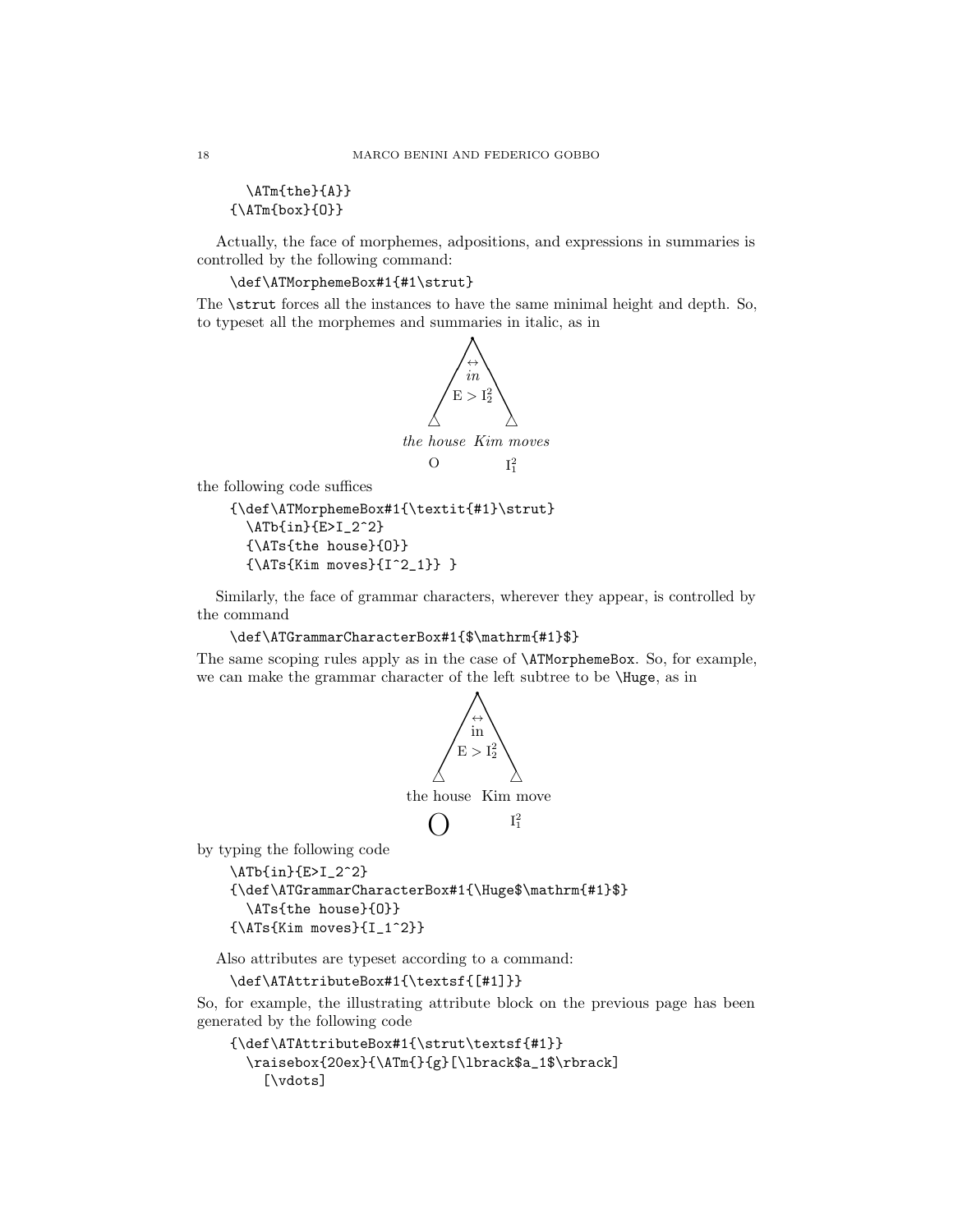\ATm{the}{A}}  ${\Lambda Tm{box}{0}}$ 

Actually, the face of morphemes, adpositions, and expressions in summaries is controlled by the following command:

## \def\ATMorphemeBox#1{#1\strut}

The  $\text{strut forces all the instances to have the same minimal height and depth. So, }$ to typeset all the morphemes and summaries in italic, as in



the following code suffices

```
{\def\ATMorphemeBox#1{\textit{#1}\strut}
  \ATb{in}{E>I_2^2}
  {\ATs{the house}{O}}
  {\Lambda Ts}{Kim moves}{I^2_1}}
```
Similarly, the face of grammar characters, wherever they appear, is controlled by the command

```
\def\ATGrammarCharacterBox#1{$\mathrm{#1}$}
```
The same scoping rules apply as in the case of \ATMorphemeBox. So, for example, we can make the grammar character of the left subtree to be \Huge, as in



by typing the following code

```
\ATb{in}{E>I_2^2}
{\def\ATGrammarCharacterBox#1{\Huge$\mathrm{#1}$}
  \ATs{the house}{O}}
{\Lambda Ts{Kim moves}{I_1^2}}
```
Also attributes are typeset according to a command:

```
\def\ATAttributeBox#1{\textsf{[#1]}}
```
So, for example, the illustrating attribute block on the previous page has been generated by the following code

```
{\def\ATAttributeBox#1{\strut\textsf{#1}}
  \raisebox{20ex}{\ATm{}{g}[\lbrack$a_1$\rbrack]
    [\vdots]
```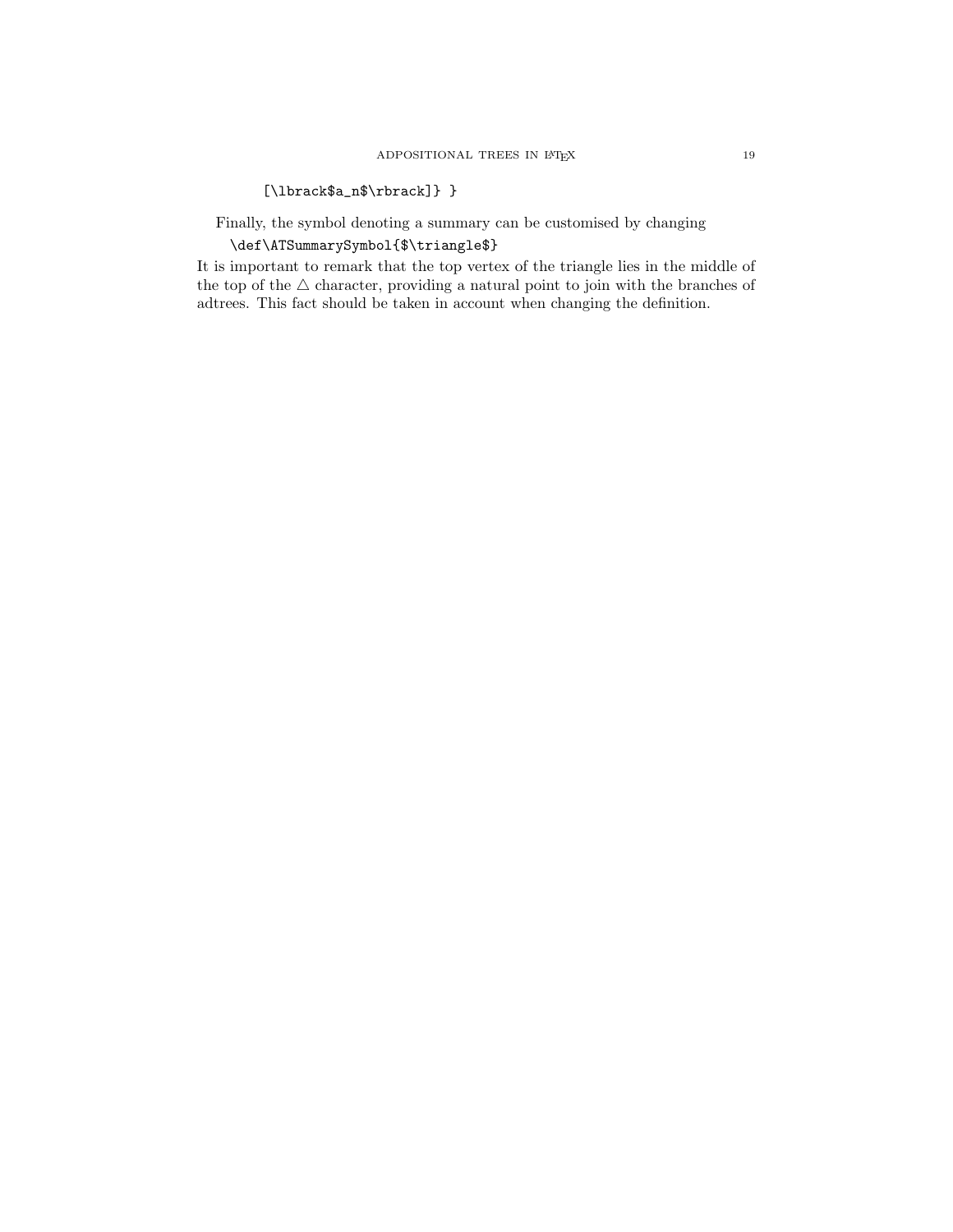# [\lbrack\$a\_n\$\rbrack]} }

Finally, the symbol denoting a summary can be customised by changing

\def\ATSummarySymbol{\$\triangle\$}

It is important to remark that the top vertex of the triangle lies in the middle of the top of the  $\bigtriangleup$  character, providing a natural point to join with the branches of adtrees. This fact should be taken in account when changing the definition.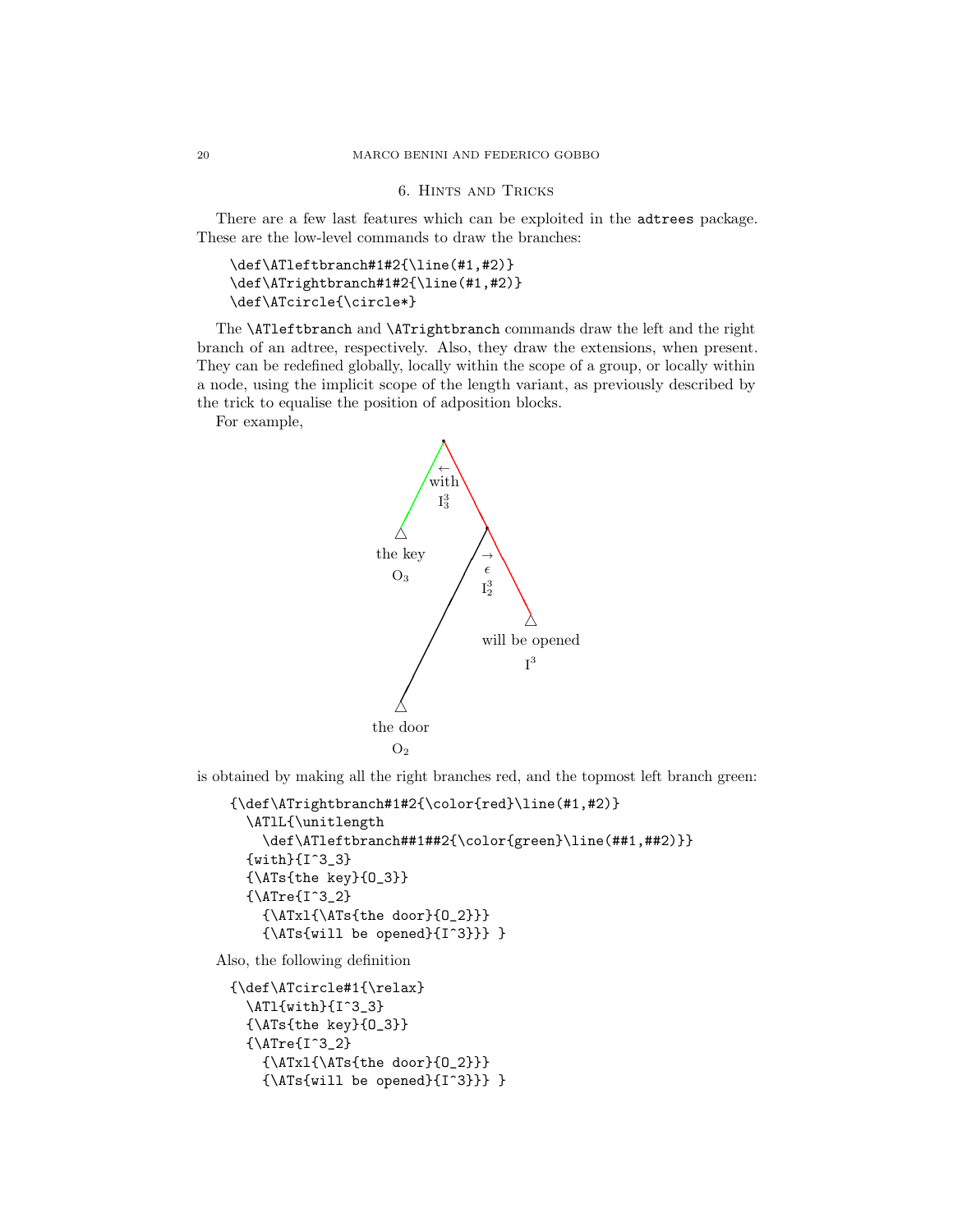# 6. Hints and Tricks

There are a few last features which can be exploited in the adtrees package. These are the low-level commands to draw the branches:

```
\def\ATleftbranch#1#2{\line(#1,#2)}
\def\ATrightbranch#1#2{\line(#1,#2)}
\def\ATcircle{\circle*}
```
The \ATleftbranch and \ATrightbranch commands draw the left and the right branch of an adtree, respectively. Also, they draw the extensions, when present. They can be redefined globally, locally within the scope of a group, or locally within a node, using the implicit scope of the length variant, as previously described by the trick to equalise the position of adposition blocks.

For example,



is obtained by making all the right branches red, and the topmost left branch green:

```
{\def\ATrightbranch#1#2{\color{red}\line(#1,#2)}
  \ATlL{\unitlength
    \def\ATleftbranch##1##2{\color{green}\line(##1,##2)}}
  {with}{I^3_3}
  {\ATs{the key}{O_3}}
  {\text{Tref}}3_2{\ATxl{\ATs{the door}{O_2}}}
    {\ATs{will be opened}{I^3}}} }
```
Also, the following definition

```
{\def\ATcircle#1{\relax}
  \ATl{with}{I^3_3}
  {\ATs{the key}{O_3}}
  {\text{Tref}}3_2{\ATxl{\ATs{the door}{O_2}}}
    {\ATs{will be opened}{I^3}}} }
```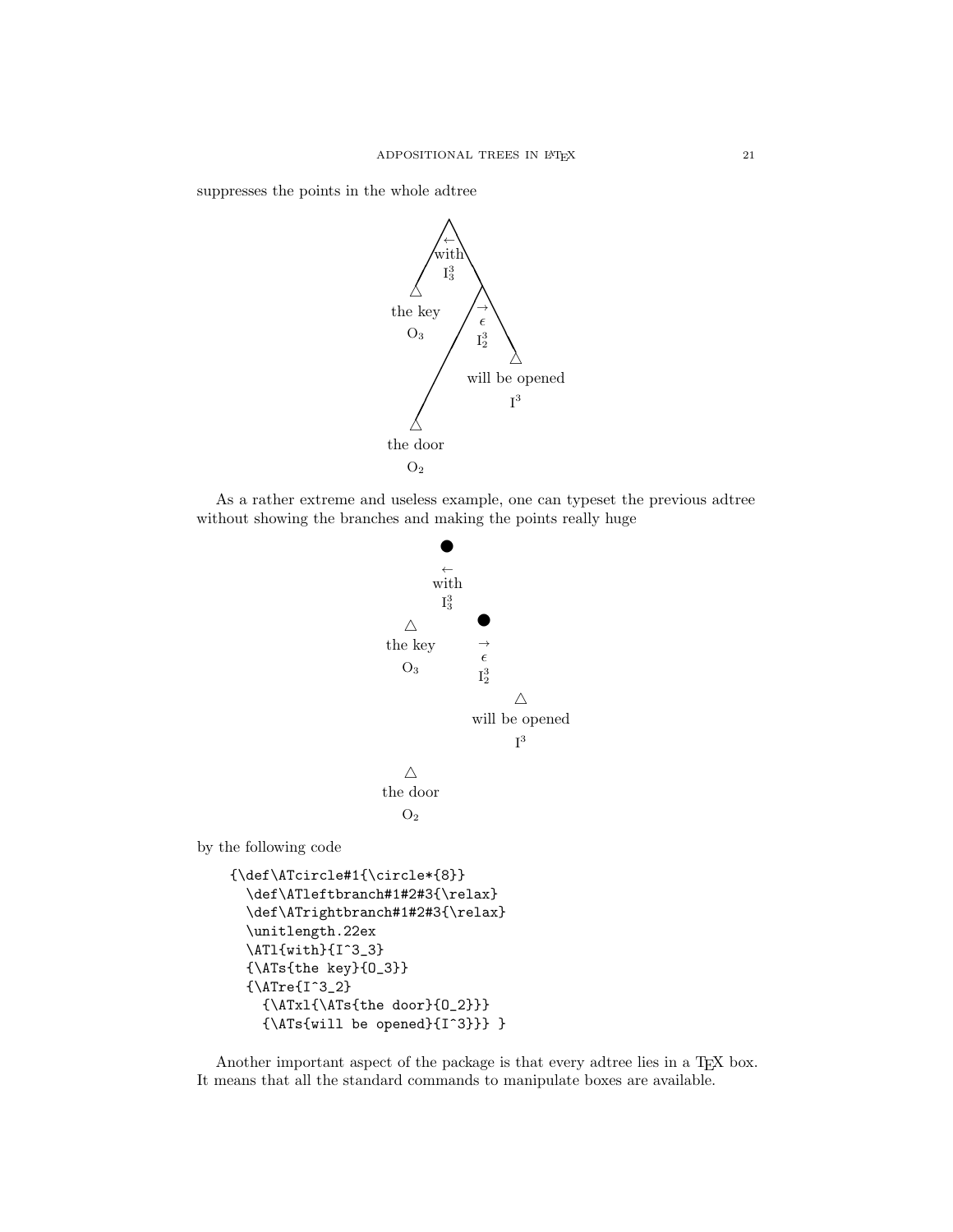suppresses the points in the whole adtree



As a rather extreme and useless example, one can typeset the previous adtree without showing the branches and making the points really huge



Another important aspect of the package is that every adtree lies in a T<sub>EX</sub> box. It means that all the standard commands to manipulate boxes are available.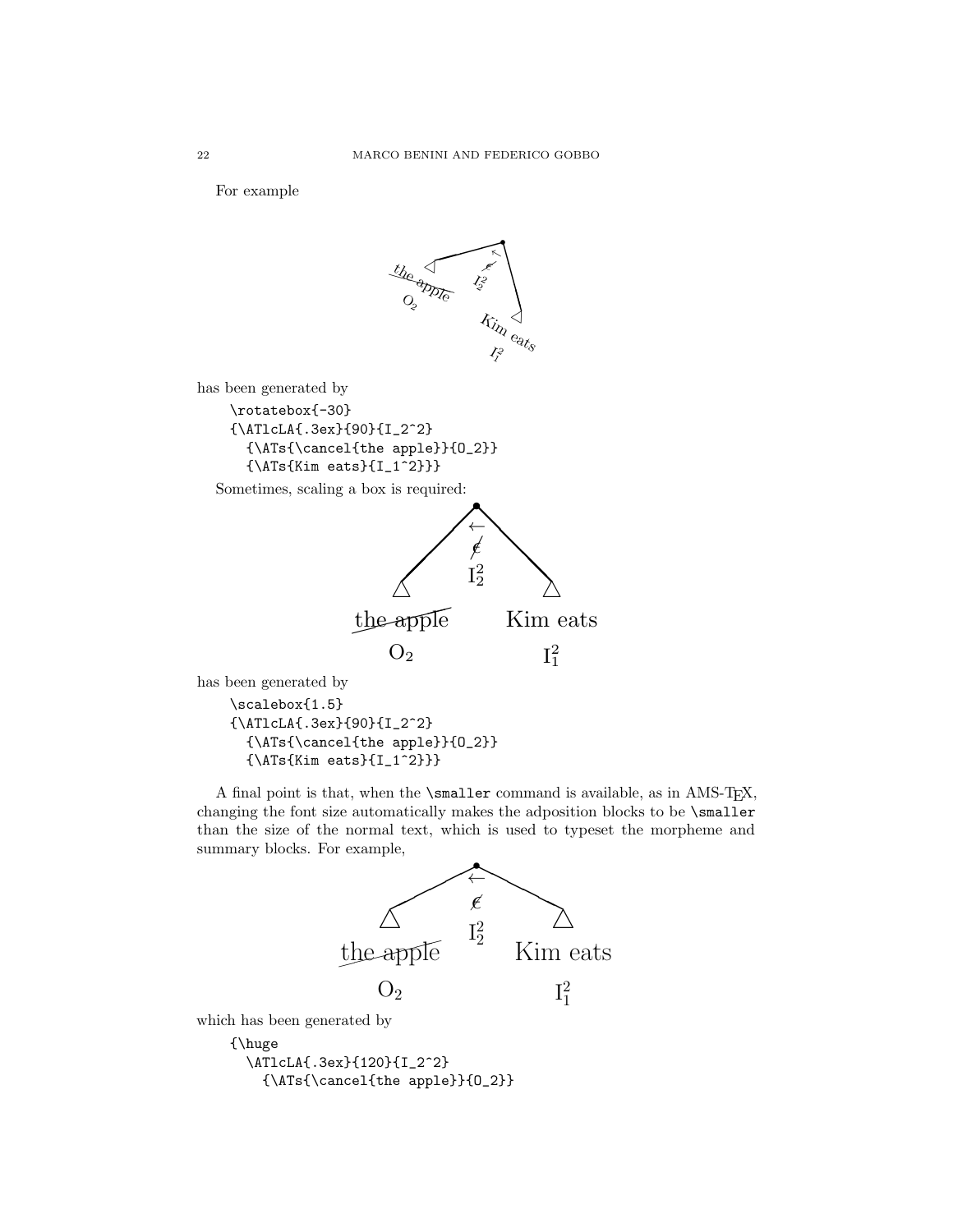For example



has been generated by

\scalebox{1.5} {\ATlcLA{.3ex}{90}{I\_2^2} {\ATs{\cancel{the apple}}{O\_2}}  ${\Lambda Ts}{Kim eats}{I_1^2}$ 

A final point is that, when the \smaller command is available, as in AMS-TEX, changing the font size automatically makes the adposition blocks to be \smaller than the size of the normal text, which is used to typeset the morpheme and summary blocks. For example,



{\huge \ATlcLA{.3ex}{120}{I\_2^2} {\ATs{\cancel{the apple}}{O\_2}}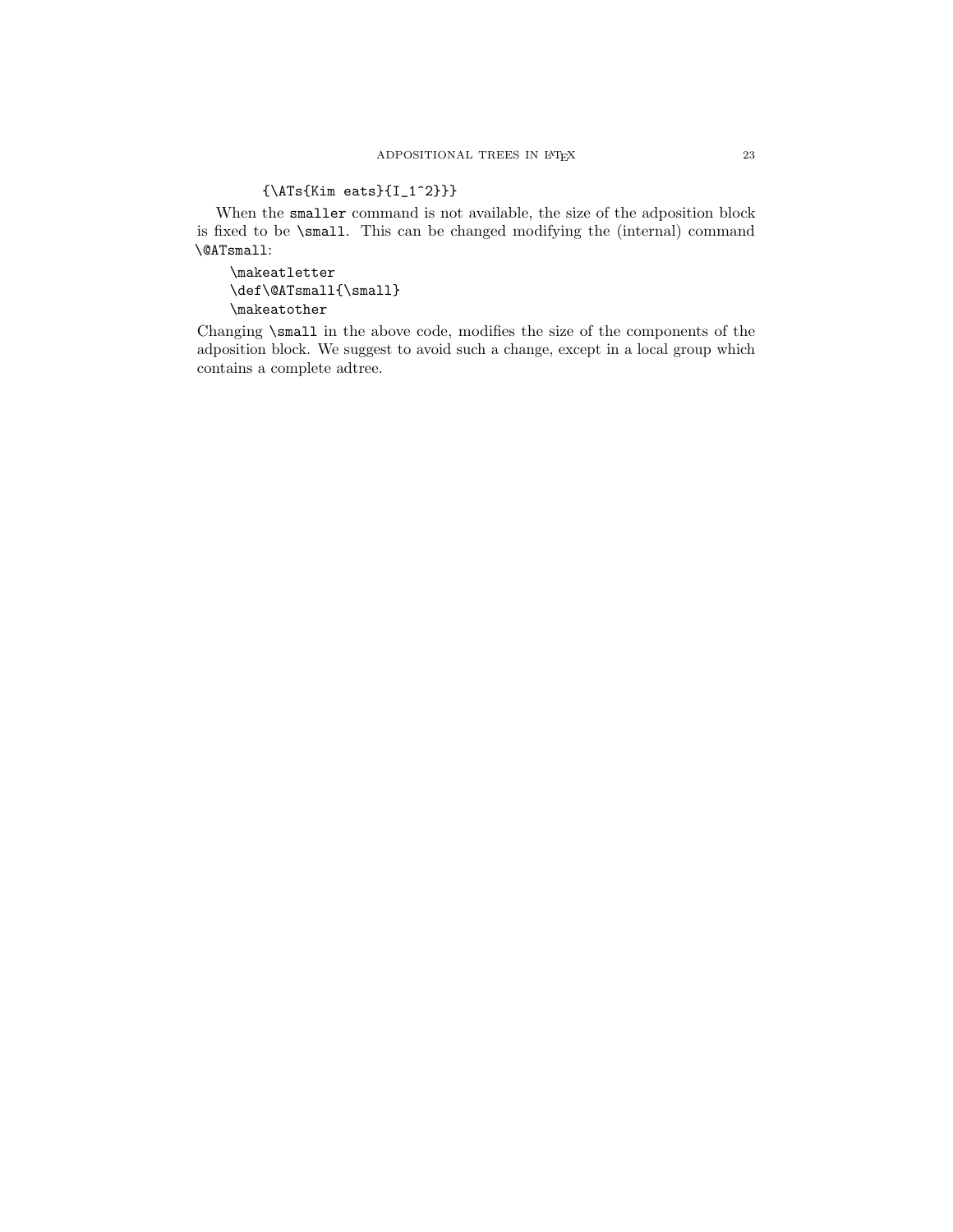# ${\Lambda Ts}{Kim eats}{I_1^2}}$

When the smaller command is not available, the size of the adposition block is fixed to be \small. This can be changed modifying the (internal) command \@ATsmall:

\makeatletter \def\@ATsmall{\small} \makeatother

Changing \small in the above code, modifies the size of the components of the adposition block. We suggest to avoid such a change, except in a local group which contains a complete adtree.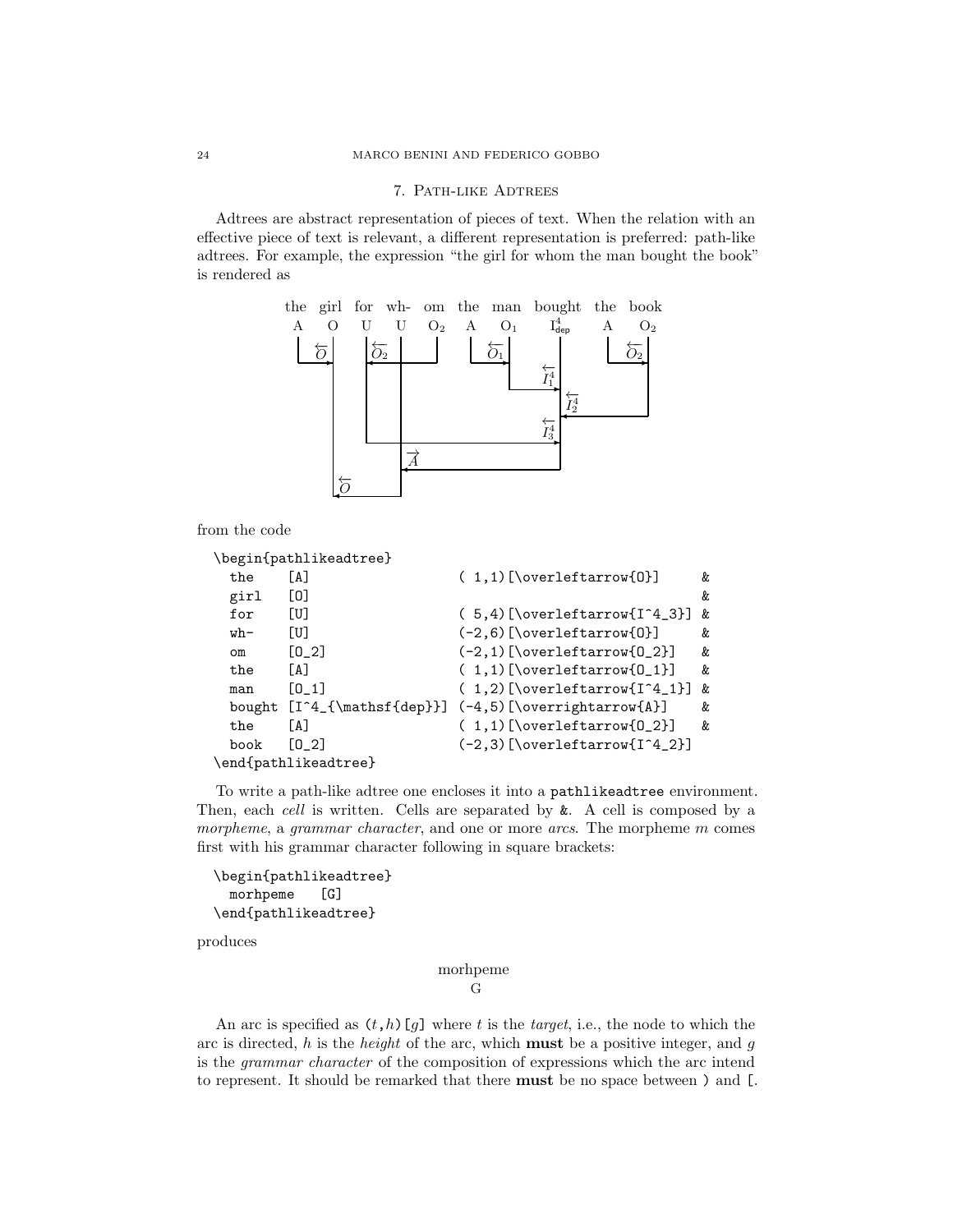### 7. Path-like Adtrees

Adtrees are abstract representation of pieces of text. When the relation with an effective piece of text is relevant, a different representation is preferred: path-like adtrees. For example, the expression "the girl for whom the man bought the book" is rendered as



from the code

```
\begin{pathlikeadtree}
 the [A] ( 1,1)[\overleftarrow{0}] &
 girl [O] &
 for [U] ( 5,4) [\overleftarrow{I^4_3}] &
 wh- [U] (-2,6)[\overleftarrow{0}] &
 om [O_2] (-2,1)[\overleftarrow{O_2}] &
 the [A] ( 1,1)[\overleftarrow{0_1}] &
 man [0_1] ( 1,2)[\overleftarrow{I^4_1}] &
 bought [I^4_{\mathsf{dep}}] (-4,5)[\overrightarrow{A}] &
 the [A] ( 1,1)[\overleftarrow{0_2}] &
 book [0_2] (-2,3) [\overleftarrow{[1^4_2]]
\end{pathlikeadtree}
```
To write a path-like adtree one encloses it into a pathlikeadtree environment. Then, each cell is written. Cells are separated by  $\&$ . A cell is composed by a morpheme, a grammar character, and one or more arcs. The morpheme  $m$  comes first with his grammar character following in square brackets:

```
\begin{pathlikeadtree}
  morhpeme [G]
\end{pathlikeadtree}
```
produces

morhpeme G

An arc is specified as  $(t,h)[g]$  where t is the target, i.e., the node to which the arc is directed,  $h$  is the *height* of the arc, which **must** be a positive integer, and  $g$ is the grammar character of the composition of expressions which the arc intend to represent. It should be remarked that there must be no space between ) and [.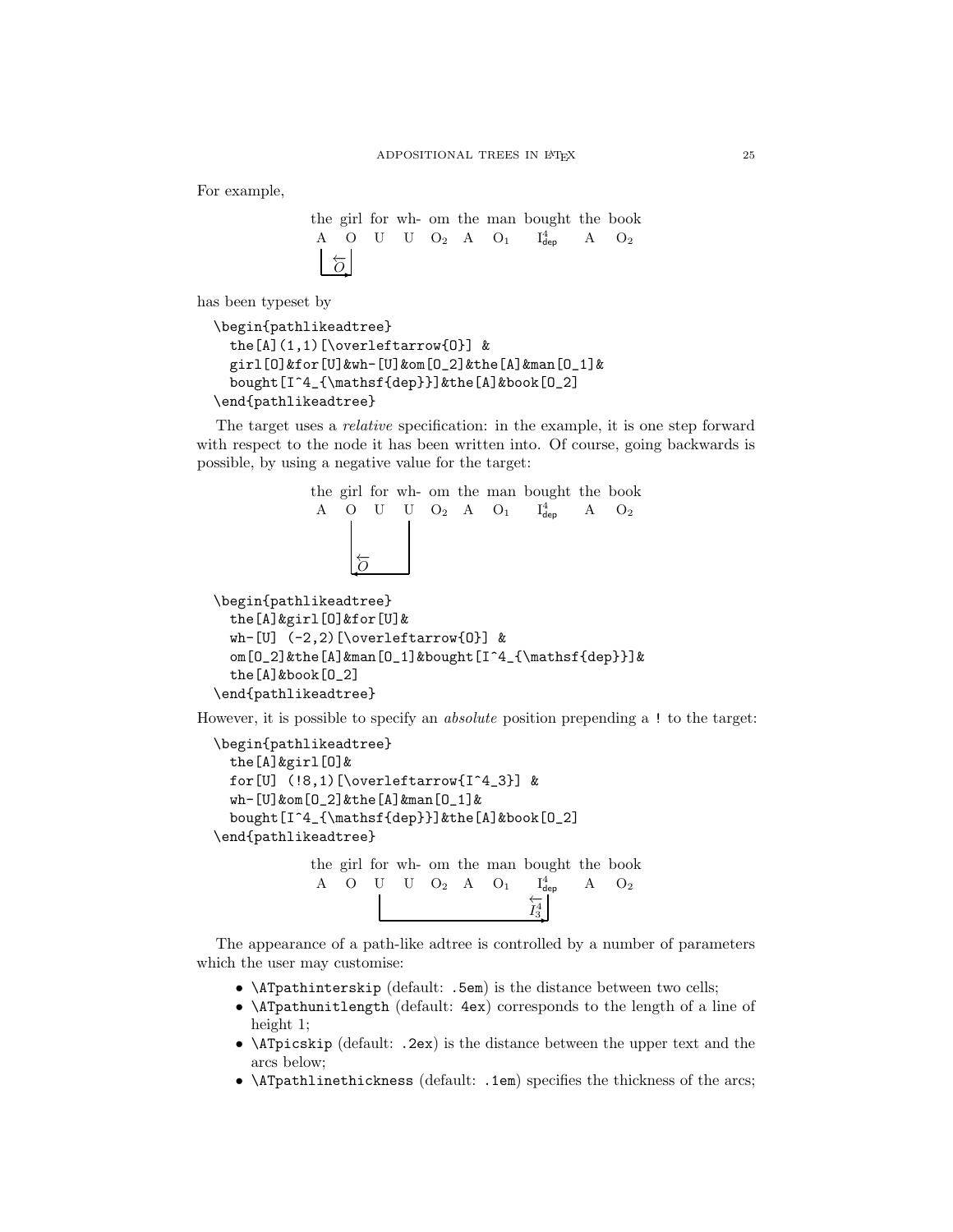For example,

```
the
girl
for
wh-
om
the
man
bought
the
book
 A O U U O<sub>2</sub> A O<sub>1</sub> I_{\text{dep}}^4 A O<sub>2</sub>
    \overleftarrow{O}
```
has been typeset by

```
\begin{pathlikeadtree}
  the[A](1,1)[\overleftarrow{O}] &
  girl[O]&for[U]&wh-[U]&om[O_2]&the[A]&man[O_1]&
  bought[I^4_{\mathsf{dep}}]&the[A]&book[O_2]
\end{pathlikeadtree}
```
The target uses a relative specification: in the example, it is one step forward with respect to the node it has been written into. Of course, going backwards is possible, by using a negative value for the target:

```
the
girl
for
wh-
om
the
man
bought
the
book
                 A O U U O<sub>2</sub> A O<sub>1</sub> I_{\text{dep}}^4 A O<sub>2</sub>
                       \circ\overleftarrow{O}\begin{pathlikeadtree}
  the[A]&girl[O]&for[U]&
  wh-[U] (-2,2)[\overleftarrow{O}] &
```

```
om[O_2]&the[A]&man[O_1]&bought[I^4_{\mathsf{dep}}]&
the[A]&book[O_2]
```

```
\end{pathlikeadtree}
```
However, it is possible to specify an absolute position prepending a ! to the target:

```
\begin{pathlikeadtree}
 the[A]&girl[O]&
 for[U] (!8,1)[\overleftarrow{I^4_3}] &
 wh-[U]&om[O_2]&the[A]&man[O_1]&
 bought[I^4_{\mathsf{dep}}]&the[A]&book[O_2]
\end{pathlikeadtree}
```
the girl for wh-om the man bought the book A O U U O<sub>2</sub> A O<sub>1</sub>  $I_{\text{dep}}^4$  A O<sub>2</sub>  $\binom{4}{3}$  $\overleftarrow{I_3^4}$ 

The appearance of a path-like adtree is controlled by a number of parameters which the user may customise:

- \ATpathinterskip (default: .5em) is the distance between two cells;
- \ATpathunitlength (default: 4ex) corresponds to the length of a line of height 1;
- \ATpicskip (default: .2ex) is the distance between the upper text and the arcs below;
- $\Lambda$ Tpathlinethickness (default: .1em) specifies the thickness of the arcs;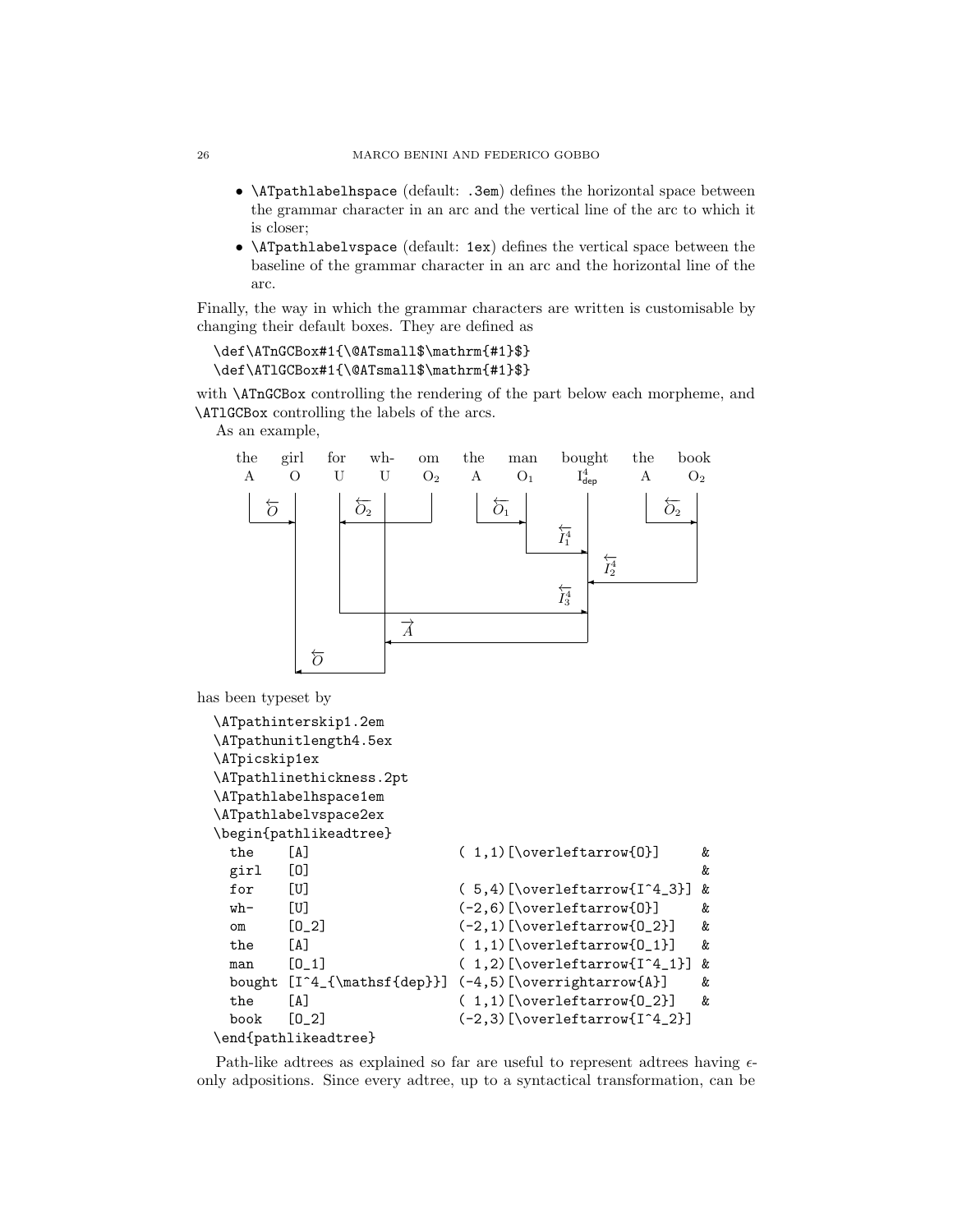- \ATpathlabelhspace (default: .3em) defines the horizontal space between the grammar character in an arc and the vertical line of the arc to which it is closer;
- \ATpathlabelvspace (default: 1ex) defines the vertical space between the baseline of the grammar character in an arc and the horizontal line of the arc.

Finally, the way in which the grammar characters are written is customisable by changing their default boxes. They are defined as

```
\def\ATnGCBox#1{\@ATsmall$\mathrm{#1}$}
\def\ATlGCBox#1{\@ATsmall$\mathrm{#1}$}
```
with \ATnGCBox controlling the rendering of the part below each morpheme, and \ATlGCBox controlling the labels of the arcs.

As an example,



has been typeset by

```
\ATpathinterskip1.2em
\ATpathunitlength4.5ex
\ATpicskip1ex
\ATpathlinethickness.2pt
\ATpathlabelhspace1em
\ATpathlabelvspace2ex
\begin{pathlikeadtree}
 the [A] (1,1)[\overleftarrow{0}] &
 girl [O] &
 for [U] ( 5,4) [\overleftarrow{I^4_3}] &
 wh- [U] (-2,6)[\overleftarrow{0}] &
 om [O_2] (-2,1)[\overleftarrow{O_2}] &
 the [A] ( 1,1)[\overleftarrow{0_1}] &
 man [0_1] ( 1,2)[\overleftarrow{I^4_1}] &
 bought [I^4_{\mathsf{dep}}] (-4,5)[\overrightarrow{A}] &
 the [A] (1,1)[\overleftarrow{0_2}] &
 book [0_2] (-2,3) [\overline{\overline{1}^4_2}]\end{pathlikeadtree}
```
Path-like adtrees as explained so far are useful to represent adtrees having  $\epsilon$ only adpositions. Since every adtree, up to a syntactical transformation, can be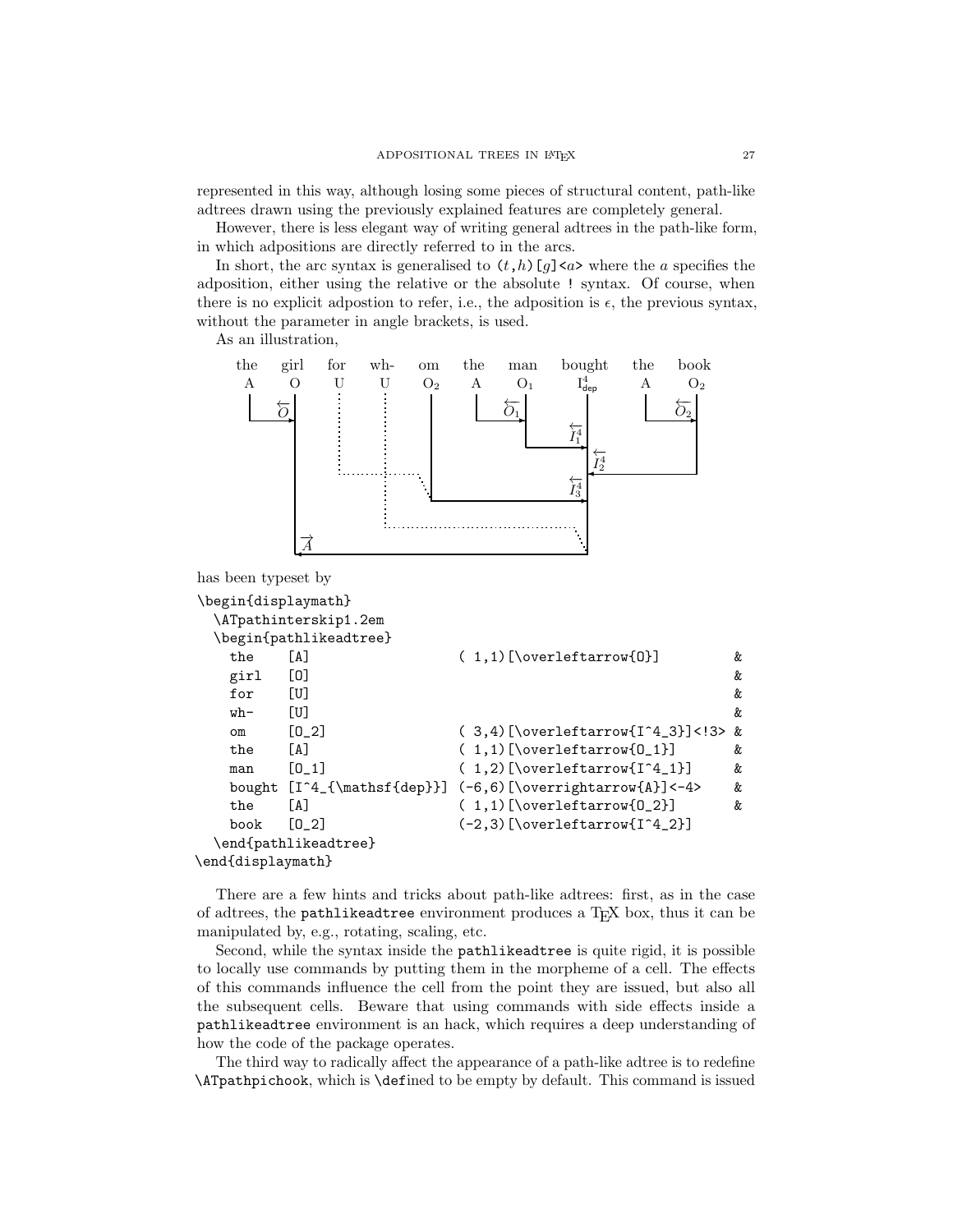represented in this way, although losing some pieces of structural content, path-like adtrees drawn using the previously explained features are completely general.

However, there is less elegant way of writing general adtrees in the path-like form, in which adpositions are directly referred to in the arcs.

In short, the arc syntax is generalised to  $(t,h)[g]$  < a> where the a specifies the adposition, either using the relative or the absolute ! syntax. Of course, when there is no explicit adpostion to refer, i.e., the adposition is  $\epsilon$ , the previous syntax, without the parameter in angle brackets, is used.

As an illustration,



```
has been typeset by
```

```
\begin{displaymath}
 \ATpathinterskip1.2em
 \begin{pathlikeadtree}
  the [A] (1,1)[\overleftarrow{0}] &
  girl [O] &
  for [U] \&wh- [U] \&om [O_2] ( 3,4)[\overleftarrow{I^4_3}]<!3> &
  the [A] ( 1,1)[\overleftarrow{0_1}] &
  man [0_1] ( 1,2)[\overleftarrow{I^4_1}] &
  bought [I^4_{\mathsf{dep}}] (-6,6)[\overrightarrow{A}]<-4> &
  the [A] ( 1,1)[\overleftarrow{0_2}] &
  book [0_2] (-2,3)[\overleftarrow{I^4_2}]
 \end{pathlikeadtree}
\end{displaymath}
```
There are a few hints and tricks about path-like adtrees: first, as in the case of adtrees, the pathlikeadtree environment produces a TEX box, thus it can be manipulated by, e.g., rotating, scaling, etc.

Second, while the syntax inside the pathlikeadtree is quite rigid, it is possible to locally use commands by putting them in the morpheme of a cell. The effects of this commands influence the cell from the point they are issued, but also all the subsequent cells. Beware that using commands with side effects inside a pathlikeadtree environment is an hack, which requires a deep understanding of how the code of the package operates.

The third way to radically affect the appearance of a path-like adtree is to redefine \ATpathpichook, which is \defined to be empty by default. This command is issued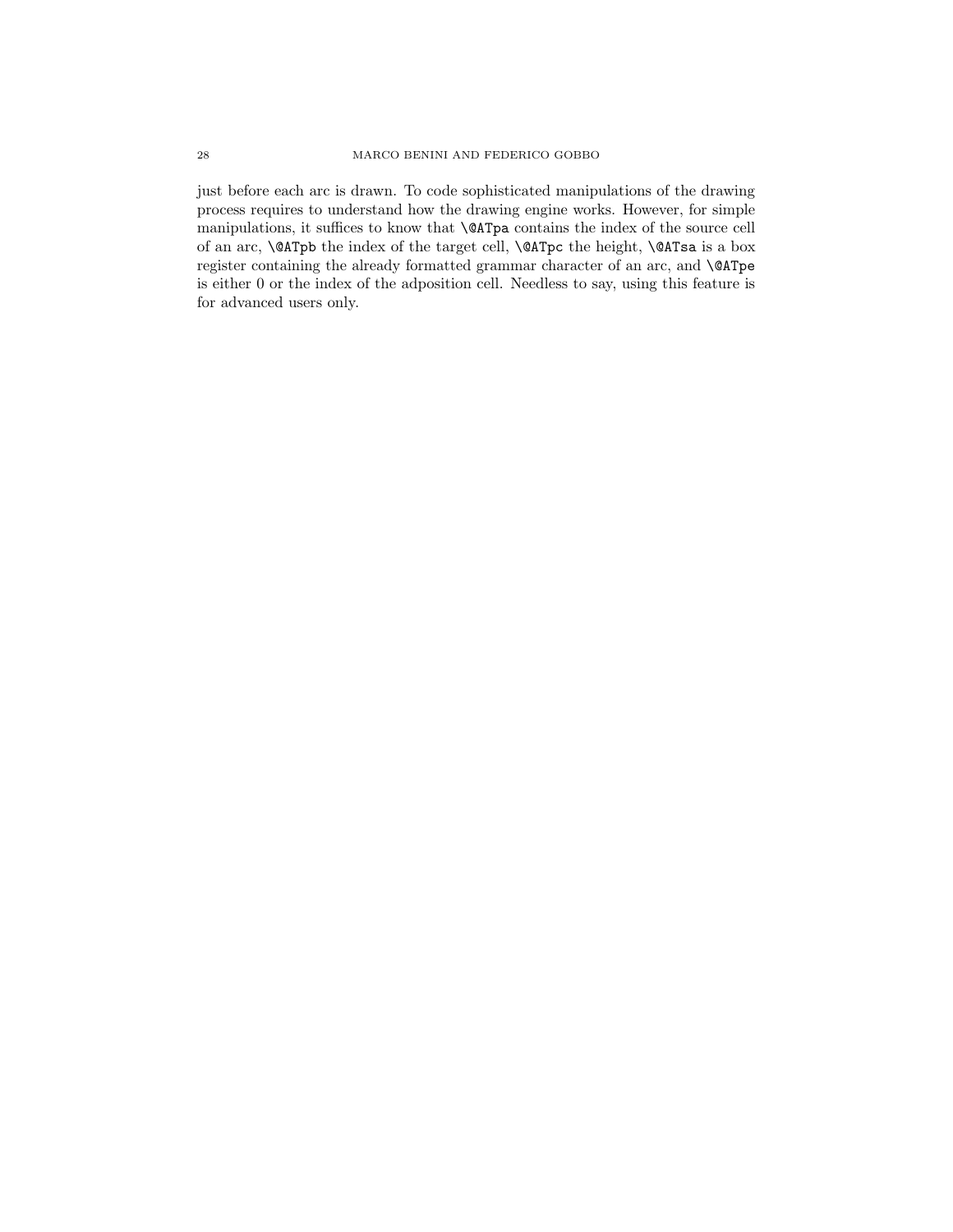just before each arc is drawn. To code sophisticated manipulations of the drawing process requires to understand how the drawing engine works. However, for simple manipulations, it suffices to know that \@ATpa contains the index of the source cell of an arc, **\@ATpb** the index of the target cell, **\@ATpc** the height, **\@ATsa** is a box register containing the already formatted grammar character of an arc, and \@ATpe is either 0 or the index of the adposition cell. Needless to say, using this feature is for advanced users only.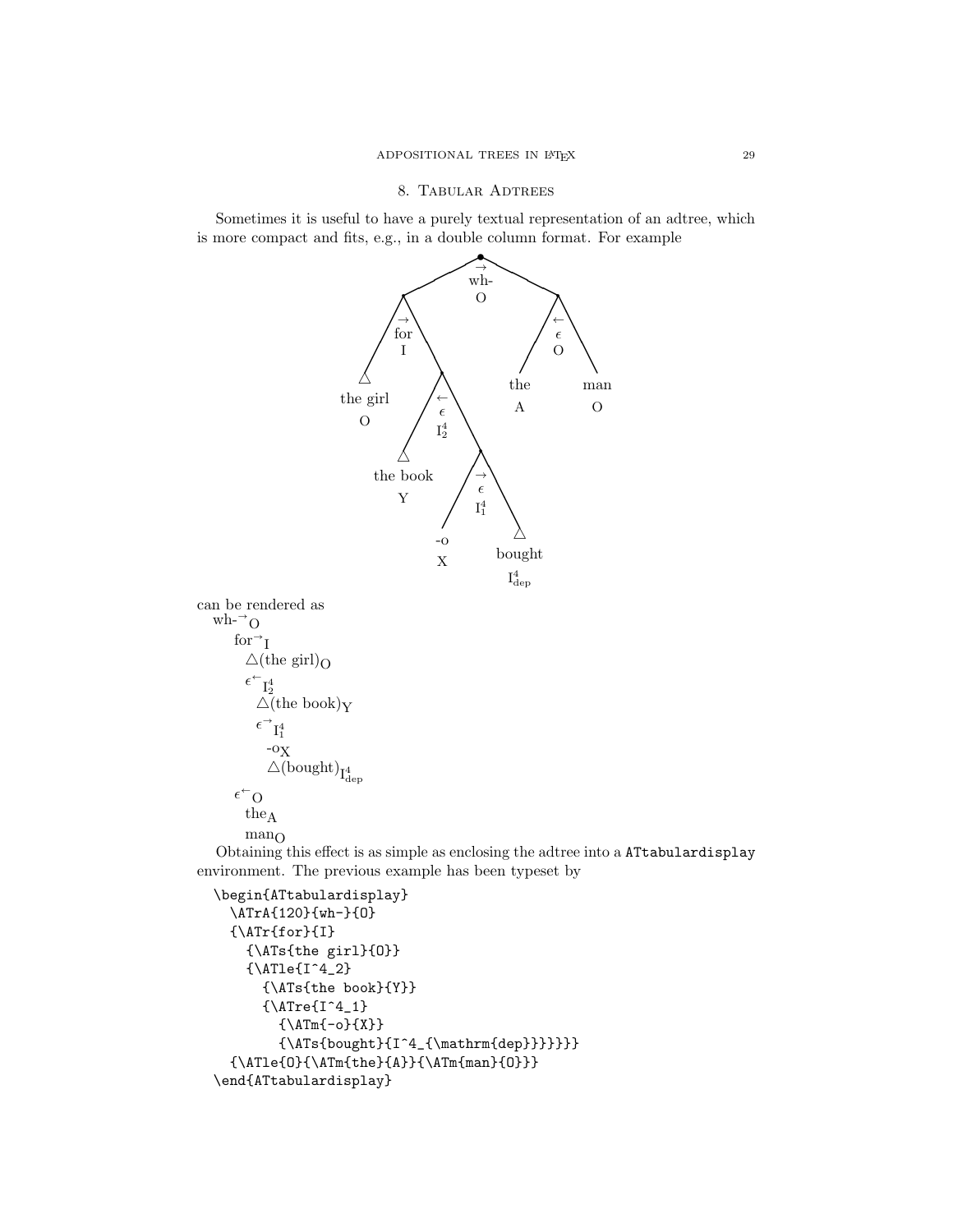Sometimes it is useful to have a purely textual representation of an adtree, which is more compact and fits, e.g., in a double column format. For example



```
\begin{ATtabulardisplay}
  \ATrA{120}{wh-}{O}
  {\{\M Tr{for}\}[]
    {\ATs{the girl}{O}}
    {\Lambda}Tle{I^4_2}{\ATs{the book}{Y}}
       {\text{1}^4_1}{\Lambda Tm{-o}}{X}{\\frac{\bought}{I^4_{\mathrm{dep}}}}\}{\\Lambda\}{}_{\Lambda\}{}_{\Lambda\}{}_{\Lambda\}{}_{0}{}}
\end{ATtabulardisplay}
```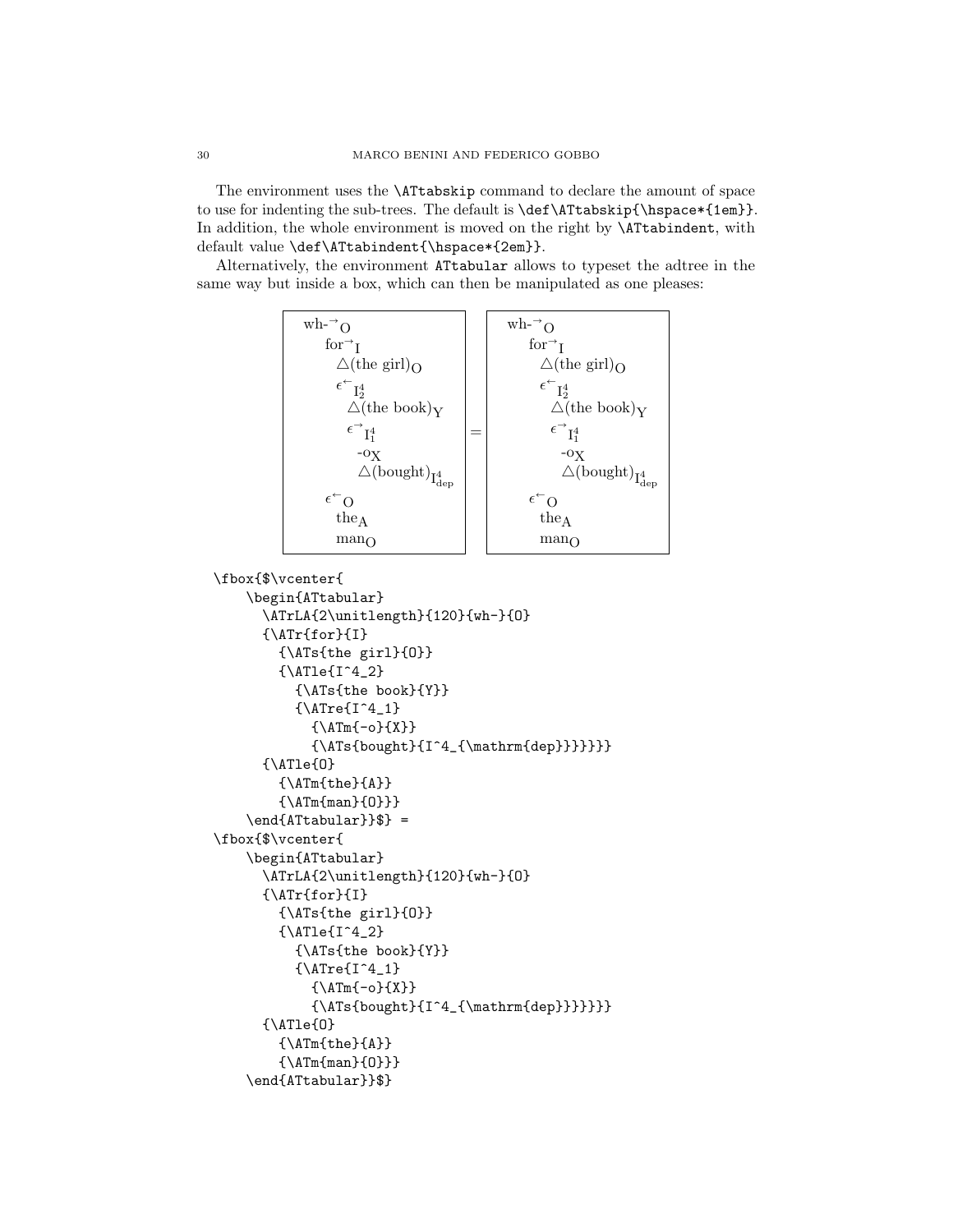The environment uses the \ATtabskip command to declare the amount of space to use for indenting the sub-trees. The default is  $\def{\Attabskip{\hbox{\sc b}}space{{\bf 1em}\}.$ In addition, the whole environment is moved on the right by \ATtabindent, with default value \def\ATtabindent{\hspace\*{2em}}.

Alternatively, the environment ATtabular allows to typeset the adtree in the same way but inside a box, which can then be manipulated as one pleases:



```
\fbox{$\vcenter{
    \begin{ATtabular}
      \ATrLA{2\unitlength}{120}{wh-}{O}
      {\ATr{for}{I}
        {\ATs{the girl}{O}}
        {\Lambda}Tle{I^4_2}{\ATs{the book}{Y}}
          {\text{1^4_1}}{\Lambda Tm{-o}}{X}{\Nrs{bought}{}T^4_{\mathrm{dep}}}\}{\Lambda}{\Lambda}}
        {\Lambda Tm{man}{0}}}
    \end{A} =
\fbox{$\vcenter{
    \begin{ATtabular}
      \ATrLA{2\unitlength}{120}{wh-}{O}
      {\{\M Tr{for}\I }\}{\ATs{the girl}{O}}
        {\Lambda}Tle{I^4_2}{\ATs{the book}{Y}}
          {\text{Tre}[I^4_1]}{\Lambda Tm{-o}}{X}{\ATs{bought}{I^4_{\mathrm{dep}}}}}}}
      {\Lambda}{\Lambda}}
        {\Lambda Tm{man}{0}}}
    \end{ATtabular}}$}
```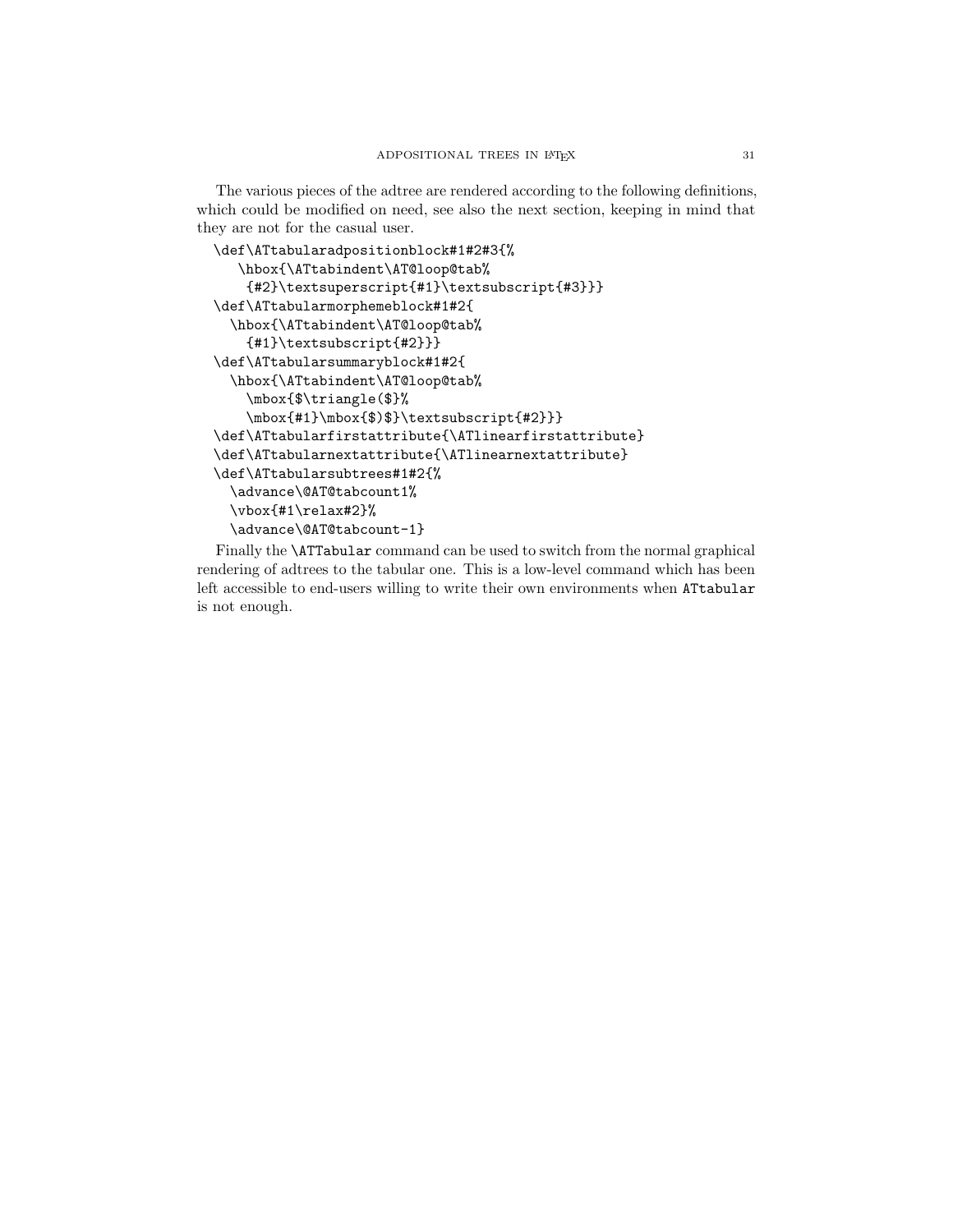The various pieces of the adtree are rendered according to the following definitions, which could be modified on need, see also the next section, keeping in mind that they are not for the casual user.

```
\def\ATtabularadpositionblock#1#2#3{%
   \hbox{\ATtabindent\AT@loop@tab%
    {#2}\textsuperscript{#1}\textsubscript{#3}}}
\def\ATtabularmorphemeblock#1#2{
  \hbox{\ATtabindent\AT@loop@tab%
    {#1}\textsubscript{#2}}}
\def\ATtabularsummaryblock#1#2{
  \hbox{\ATtabindent\AT@loop@tab%
    \mbox{$\triangle($}%
    \mbox{#1}\mbox{$)$}\textsubscript{#2}}}
\def\ATtabularfirstattribute{\ATlinearfirstattribute}
\def\ATtabularnextattribute{\ATlinearnextattribute}
\def\ATtabularsubtrees#1#2{%
  \advance\@AT@tabcount1%
  \vbox{#1\relax#2}%
  \advance\@AT@tabcount-1}
```
Finally the \ATTabular command can be used to switch from the normal graphical rendering of adtrees to the tabular one. This is a low-level command which has been left accessible to end-users willing to write their own environments when ATtabular is not enough.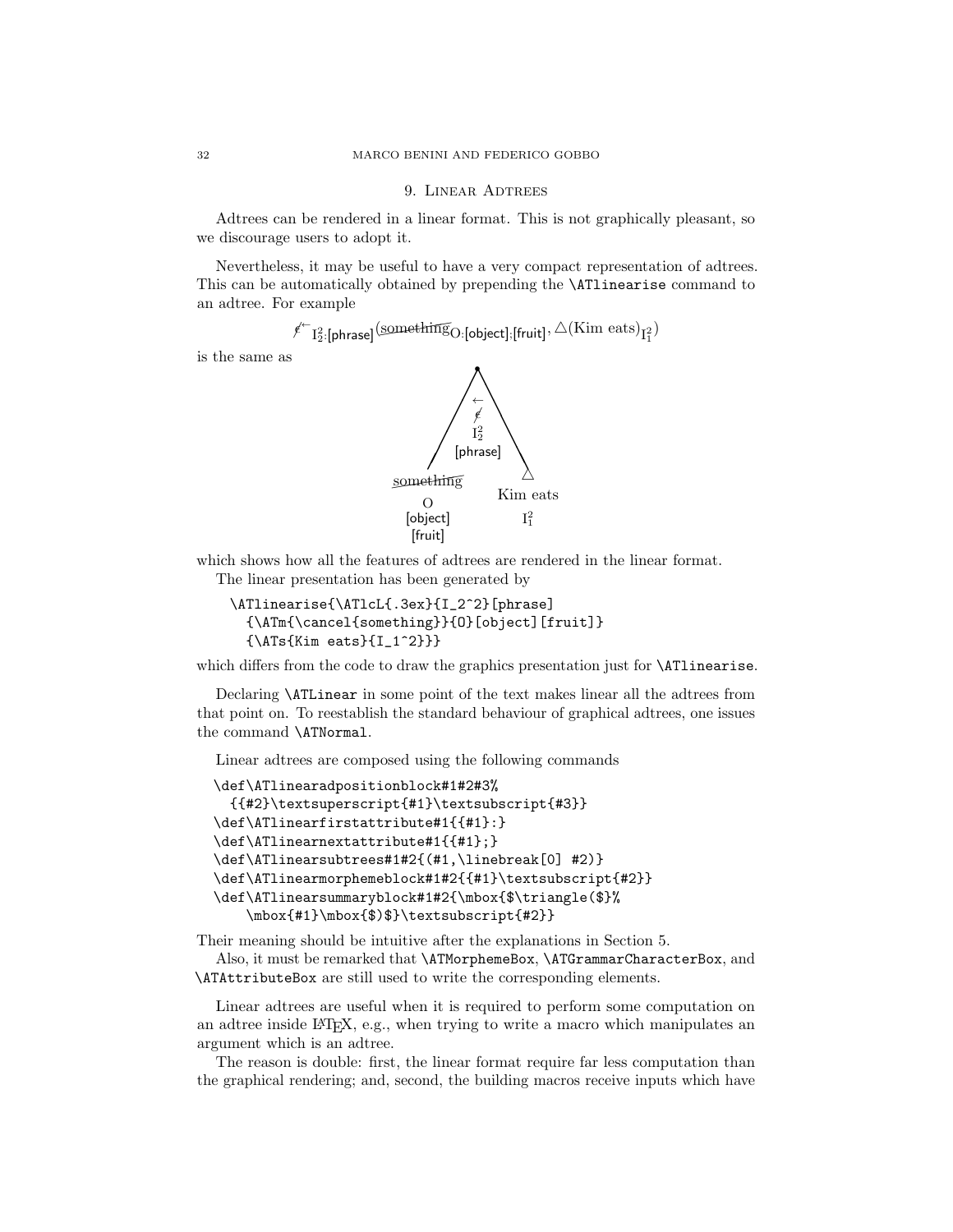### 9. LINEAR ADTREES

Adtrees can be rendered in a linear format. This is not graphically pleasant, so we discourage users to adopt it.

Nevertheless, it may be useful to have a very compact representation of adtrees. This can be automatically obtained by prepending the \ATlinearise command to an adtree. For example

 $\ell^{\leftarrow}$   $I_2^2$ : [phrase]  $(\underline{\textrm{something}}$  (bbject]; [fruit],  $\triangle(\textrm{Kim} \ \textrm{eats})_{I_1^2})$ 

is the same as



which shows how all the features of adtrees are rendered in the linear format.

The linear presentation has been generated by

```
\ATlinearise{\ATlcL{.3ex}{I_2^2}[phrase]
  {\ATm{\cancel{something}}{O}[object][fruit]}
  {\ATs{Kim eats}{I_1^2}}}
```
which differs from the code to draw the graphics presentation just for **\ATlinearise**.

Declaring \ATLinear in some point of the text makes linear all the adtrees from that point on. To reestablish the standard behaviour of graphical adtrees, one issues the command \ATNormal.

Linear adtrees are composed using the following commands

```
\def\ATlinearadpositionblock#1#2#3%
  {{#2}\textsuperscript{#1}\textsubscript{#3}}
\def\ATlinearfirstattribute#1{{#1}:}
\def\ATlinearnextattribute#1{{#1};}
\def\ATlinearsubtrees#1#2{(#1,\linebreak[0] #2)}
\def\ATlinearmorphemeblock#1#2{{#1}\textsubscript{#2}}
\def\ATlinearsummaryblock#1#2{\mbox{$\triangle($}%
    \mbox{#1}\mbox{$)$}\textsubscript{#2}}
```
Their meaning should be intuitive after the explanations in Section 5.

Also, it must be remarked that \ATMorphemeBox, \ATGrammarCharacterBox, and \ATAttributeBox are still used to write the corresponding elements.

Linear adtrees are useful when it is required to perform some computation on an adtree inside LATEX, e.g., when trying to write a macro which manipulates an argument which is an adtree.

The reason is double: first, the linear format require far less computation than the graphical rendering; and, second, the building macros receive inputs which have